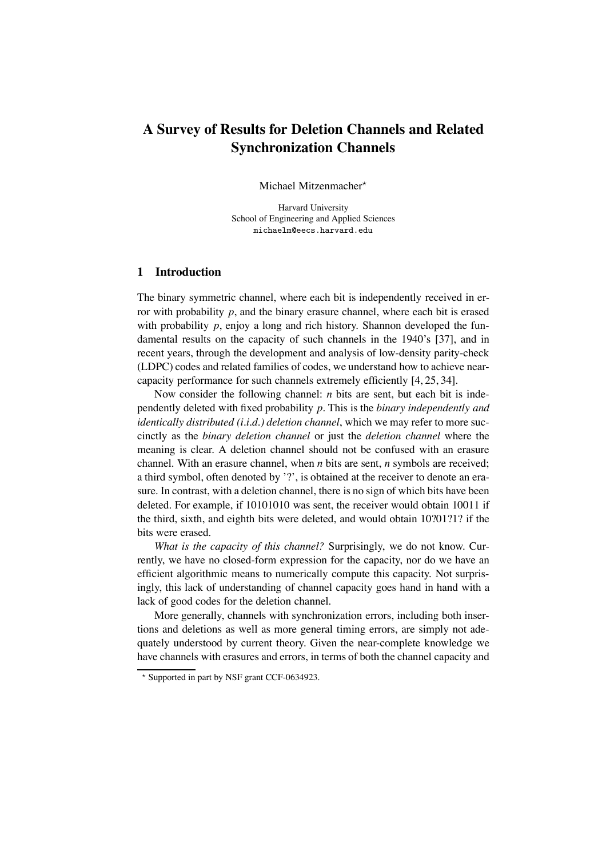# **A Survey of Results for Deletion Channels and Related Synchronization Channels**

Michael Mitzenmacher\*

Harvard University School of Engineering and Applied Sciences michaelm@eecs.harvard.edu

#### **1 Introduction**

The binary symmetric channel, where each bit is independently received in error with probability *p*, and the binary erasure channel, where each bit is erased with probability *p*, enjoy a long and rich history. Shannon developed the fundamental results on the capacity of such channels in the 1940's [37], and in recent years, through the development and analysis of low-density parity-check (LDPC) codes and related families of codes, we understand how to achieve nearcapacity performance for such channels extremely efficiently [4, 25, 34].

Now consider the following channel: *n* bits are sent, but each bit is independently deleted with fixed probability *p*. This is the *binary independently and identically distributed (i.i.d.) deletion channel*, which we may refer to more succinctly as the *binary deletion channel* or just the *deletion channel* where the meaning is clear. A deletion channel should not be confused with an erasure channel. With an erasure channel, when *n* bits are sent, *n* symbols are received; a third symbol, often denoted by '?', is obtained at the receiver to denote an erasure. In contrast, with a deletion channel, there is no sign of which bits have been deleted. For example, if 10101010 was sent, the receiver would obtain 10011 if the third, sixth, and eighth bits were deleted, and would obtain 10?01?1? if the bits were erased.

*What is the capacity of this channel?* Surprisingly, we do not know. Currently, we have no closed-form expression for the capacity, nor do we have an efficient algorithmic means to numerically compute this capacity. Not surprisingly, this lack of understanding of channel capacity goes hand in hand with a lack of good codes for the deletion channel.

More generally, channels with synchronization errors, including both insertions and deletions as well as more general timing errors, are simply not adequately understood by current theory. Given the near-complete knowledge we have channels with erasures and errors, in terms of both the channel capacity and

<sup>-</sup> Supported in part by NSF grant CCF-0634923.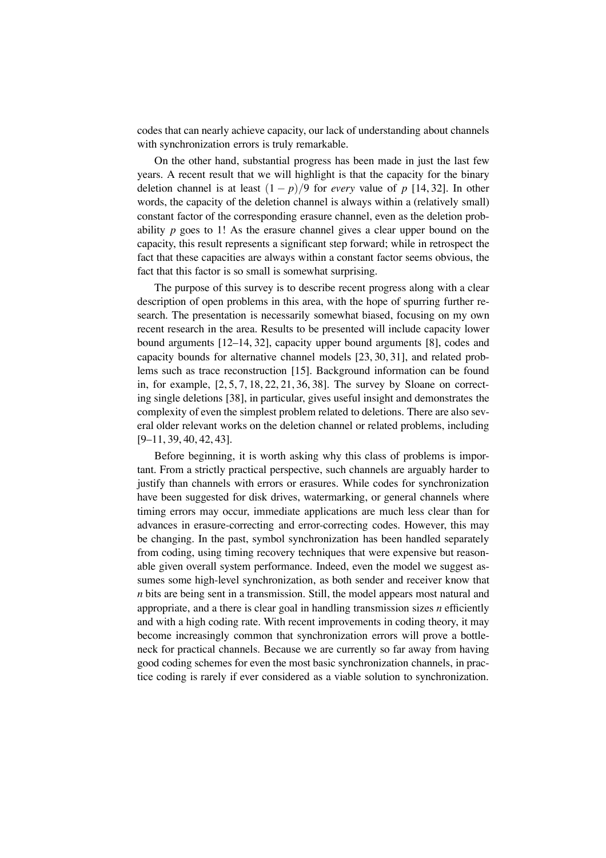codes that can nearly achieve capacity, our lack of understanding about channels with synchronization errors is truly remarkable.

On the other hand, substantial progress has been made in just the last few years. A recent result that we will highlight is that the capacity for the binary deletion channel is at least  $(1 - p)/9$  for *every* value of *p* [14, 32]. In other words, the capacity of the deletion channel is always within a (relatively small) constant factor of the corresponding erasure channel, even as the deletion probability *p* goes to 1! As the erasure channel gives a clear upper bound on the capacity, this result represents a significant step forward; while in retrospect the fact that these capacities are always within a constant factor seems obvious, the fact that this factor is so small is somewhat surprising.

The purpose of this survey is to describe recent progress along with a clear description of open problems in this area, with the hope of spurring further research. The presentation is necessarily somewhat biased, focusing on my own recent research in the area. Results to be presented will include capacity lower bound arguments [12–14, 32], capacity upper bound arguments [8], codes and capacity bounds for alternative channel models [23, 30, 31], and related problems such as trace reconstruction [15]. Background information can be found in, for example,  $[2, 5, 7, 18, 22, 21, 36, 38]$ . The survey by Sloane on correcting single deletions [38], in particular, gives useful insight and demonstrates the complexity of even the simplest problem related to deletions. There are also several older relevant works on the deletion channel or related problems, including [9–11, 39, 40, 42, 43].

Before beginning, it is worth asking why this class of problems is important. From a strictly practical perspective, such channels are arguably harder to justify than channels with errors or erasures. While codes for synchronization have been suggested for disk drives, watermarking, or general channels where timing errors may occur, immediate applications are much less clear than for advances in erasure-correcting and error-correcting codes. However, this may be changing. In the past, symbol synchronization has been handled separately from coding, using timing recovery techniques that were expensive but reasonable given overall system performance. Indeed, even the model we suggest assumes some high-level synchronization, as both sender and receiver know that *n* bits are being sent in a transmission. Still, the model appears most natural and appropriate, and a there is clear goal in handling transmission sizes *n* efficiently and with a high coding rate. With recent improvements in coding theory, it may become increasingly common that synchronization errors will prove a bottleneck for practical channels. Because we are currently so far away from having good coding schemes for even the most basic synchronization channels, in practice coding is rarely if ever considered as a viable solution to synchronization.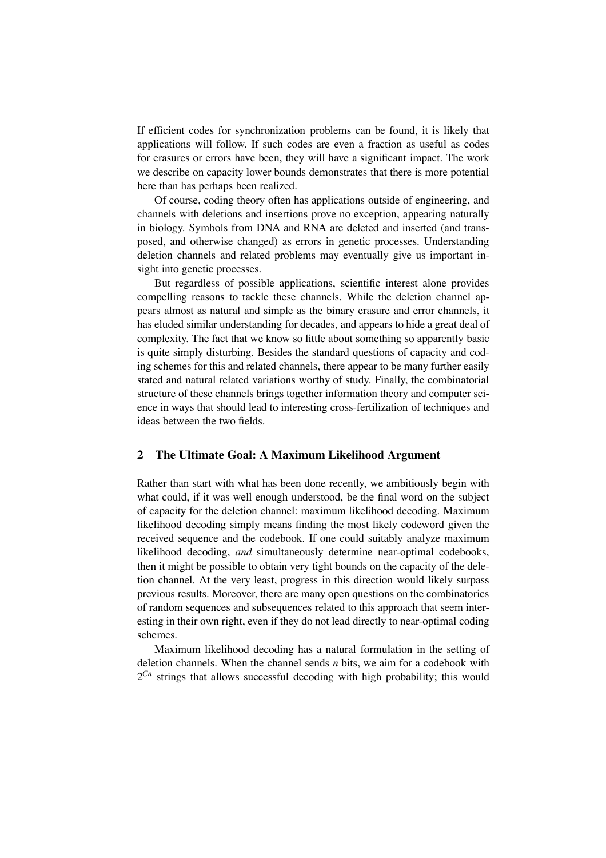If efficient codes for synchronization problems can be found, it is likely that applications will follow. If such codes are even a fraction as useful as codes for erasures or errors have been, they will have a significant impact. The work we describe on capacity lower bounds demonstrates that there is more potential here than has perhaps been realized.

Of course, coding theory often has applications outside of engineering, and channels with deletions and insertions prove no exception, appearing naturally in biology. Symbols from DNA and RNA are deleted and inserted (and transposed, and otherwise changed) as errors in genetic processes. Understanding deletion channels and related problems may eventually give us important insight into genetic processes.

But regardless of possible applications, scientific interest alone provides compelling reasons to tackle these channels. While the deletion channel appears almost as natural and simple as the binary erasure and error channels, it has eluded similar understanding for decades, and appears to hide a great deal of complexity. The fact that we know so little about something so apparently basic is quite simply disturbing. Besides the standard questions of capacity and coding schemes for this and related channels, there appear to be many further easily stated and natural related variations worthy of study. Finally, the combinatorial structure of these channels brings together information theory and computer science in ways that should lead to interesting cross-fertilization of techniques and ideas between the two fields.

# **2 The Ultimate Goal: A Maximum Likelihood Argument**

Rather than start with what has been done recently, we ambitiously begin with what could, if it was well enough understood, be the final word on the subject of capacity for the deletion channel: maximum likelihood decoding. Maximum likelihood decoding simply means finding the most likely codeword given the received sequence and the codebook. If one could suitably analyze maximum likelihood decoding, *and* simultaneously determine near-optimal codebooks, then it might be possible to obtain very tight bounds on the capacity of the deletion channel. At the very least, progress in this direction would likely surpass previous results. Moreover, there are many open questions on the combinatorics of random sequences and subsequences related to this approach that seem interesting in their own right, even if they do not lead directly to near-optimal coding schemes.

Maximum likelihood decoding has a natural formulation in the setting of deletion channels. When the channel sends *n* bits, we aim for a codebook with  $2^{Cn}$  strings that allows successful decoding with high probability; this would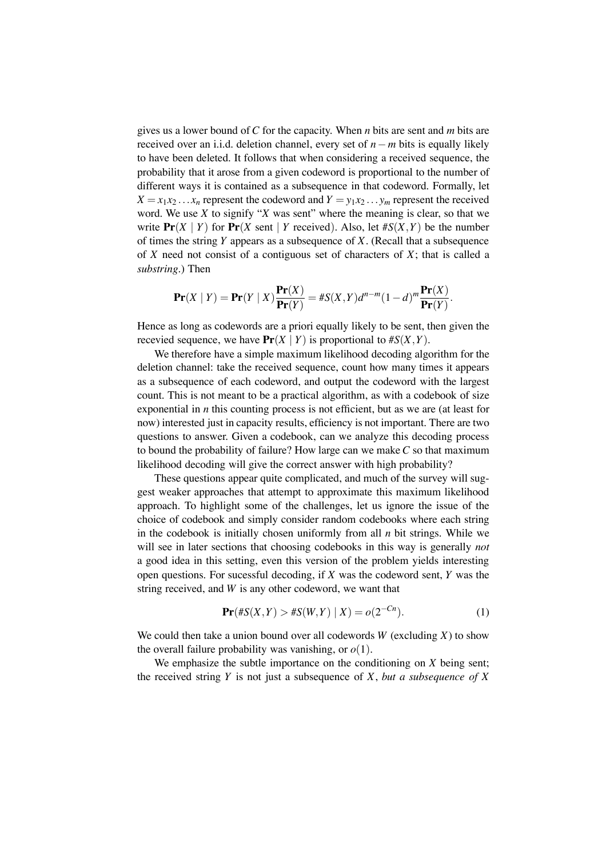gives us a lower bound of *C* for the capacity. When *n* bits are sent and *m* bits are received over an i.i.d. deletion channel, every set of *n*−*m* bits is equally likely to have been deleted. It follows that when considering a received sequence, the probability that it arose from a given codeword is proportional to the number of different ways it is contained as a subsequence in that codeword. Formally, let  $X = x_1 x_2 \dots x_n$  represent the codeword and  $Y = y_1 x_2 \dots y_m$  represent the received word. We use  $X$  to signify " $X$  was sent" where the meaning is clear, so that we write  $Pr(X | Y)$  for  $Pr(X \text{ sent} | Y \text{ received})$ . Also, let  $#S(X, Y)$  be the number of times the string *Y* appears as a subsequence of *X*. (Recall that a subsequence of *X* need not consist of a contiguous set of characters of *X*; that is called a *substring*.) Then

$$
\mathbf{Pr}(X \mid Y) = \mathbf{Pr}(Y \mid X) \frac{\mathbf{Pr}(X)}{\mathbf{Pr}(Y)} = #S(X, Y) d^{n-m} (1-d)^m \frac{\mathbf{Pr}(X)}{\mathbf{Pr}(Y)}.
$$

Hence as long as codewords are a priori equally likely to be sent, then given the recevied sequence, we have  $Pr(X | Y)$  is proportional to  $#S(X, Y)$ .

We therefore have a simple maximum likelihood decoding algorithm for the deletion channel: take the received sequence, count how many times it appears as a subsequence of each codeword, and output the codeword with the largest count. This is not meant to be a practical algorithm, as with a codebook of size exponential in *n* this counting process is not efficient, but as we are (at least for now) interested just in capacity results, efficiency is not important. There are two questions to answer. Given a codebook, can we analyze this decoding process to bound the probability of failure? How large can we make *C* so that maximum likelihood decoding will give the correct answer with high probability?

These questions appear quite complicated, and much of the survey will suggest weaker approaches that attempt to approximate this maximum likelihood approach. To highlight some of the challenges, let us ignore the issue of the choice of codebook and simply consider random codebooks where each string in the codebook is initially chosen uniformly from all *n* bit strings. While we will see in later sections that choosing codebooks in this way is generally *not* a good idea in this setting, even this version of the problem yields interesting open questions. For sucessful decoding, if *X* was the codeword sent, *Y* was the string received, and *W* is any other codeword, we want that

$$
\Pr(\#S(X, Y) > \#S(W, Y) \mid X) = o(2^{-Cn}).\tag{1}
$$

We could then take a union bound over all codewords *W* (excluding *X*) to show the overall failure probability was vanishing, or  $o(1)$ .

We emphasize the subtle importance on the conditioning on *X* being sent; the received string *Y* is not just a subsequence of *X*, *but a subsequence of X*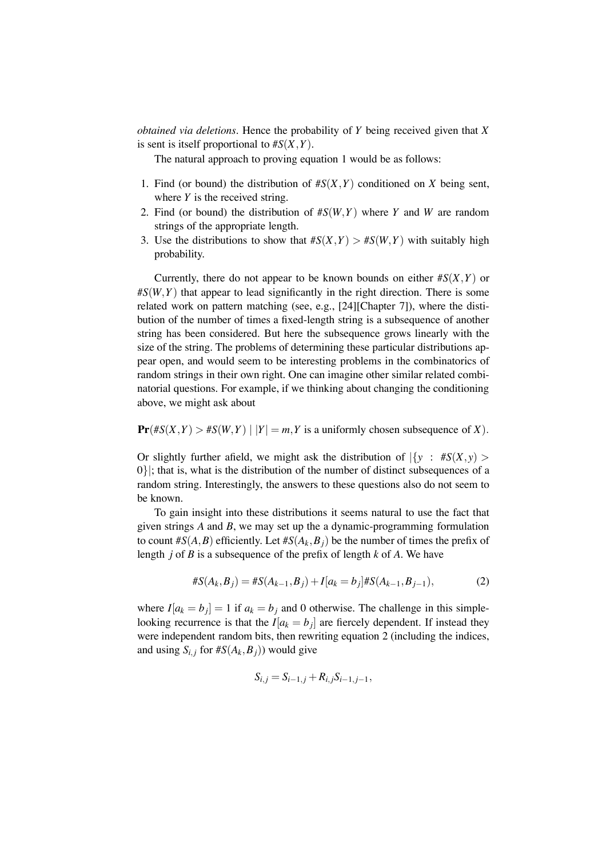*obtained via deletions*. Hence the probability of *Y* being received given that *X* is sent is itself proportional to  $\#S(X, Y)$ .

The natural approach to proving equation 1 would be as follows:

- 1. Find (or bound) the distribution of  $#S(X, Y)$  conditioned on *X* being sent, where *Y* is the received string.
- 2. Find (or bound) the distribution of #*S*(*W*,*Y* ) where *Y* and *W* are random strings of the appropriate length.
- 3. Use the distributions to show that  $#S(X, Y) > #S(W, Y)$  with suitably high probability.

Currently, there do not appear to be known bounds on either  $\#S(X,Y)$  or  $#S(W,Y)$  that appear to lead significantly in the right direction. There is some related work on pattern matching (see, e.g., [24][Chapter 7]), where the distibution of the number of times a fixed-length string is a subsequence of another string has been considered. But here the subsequence grows linearly with the size of the string. The problems of determining these particular distributions appear open, and would seem to be interesting problems in the combinatorics of random strings in their own right. One can imagine other similar related combinatorial questions. For example, if we thinking about changing the conditioning above, we might ask about

 $\Pr(\#S(X, Y) > \#S(W, Y) \mid |Y| = m, Y$  is a uniformly chosen subsequence of *X*).

Or slightly further afield, we might ask the distribution of  $|\{y : #S(X, y) >$  $|0\rangle$ ; that is, what is the distribution of the number of distinct subsequences of a random string. Interestingly, the answers to these questions also do not seem to be known.

To gain insight into these distributions it seems natural to use the fact that given strings *A* and *B*, we may set up the a dynamic-programming formulation to count  $#S(A, B)$  efficiently. Let  $#S(A_k, B_j)$  be the number of times the prefix of length *j* of *B* is a subsequence of the prefix of length *k* of *A*. We have

$$
\#S(A_k, B_j) = \#S(A_{k-1}, B_j) + I[a_k = b_j] \#S(A_{k-1}, B_{j-1}),\tag{2}
$$

where  $I[a_k = b_j] = 1$  if  $a_k = b_j$  and 0 otherwise. The challenge in this simplelooking recurrence is that the  $I[a_k = b_j]$  are fiercely dependent. If instead they were independent random bits, then rewriting equation 2 (including the indices, and using  $S_{i,j}$  for  $\#S(A_k, B_j)$ ) would give

$$
S_{i,j} = S_{i-1,j} + R_{i,j} S_{i-1,j-1},
$$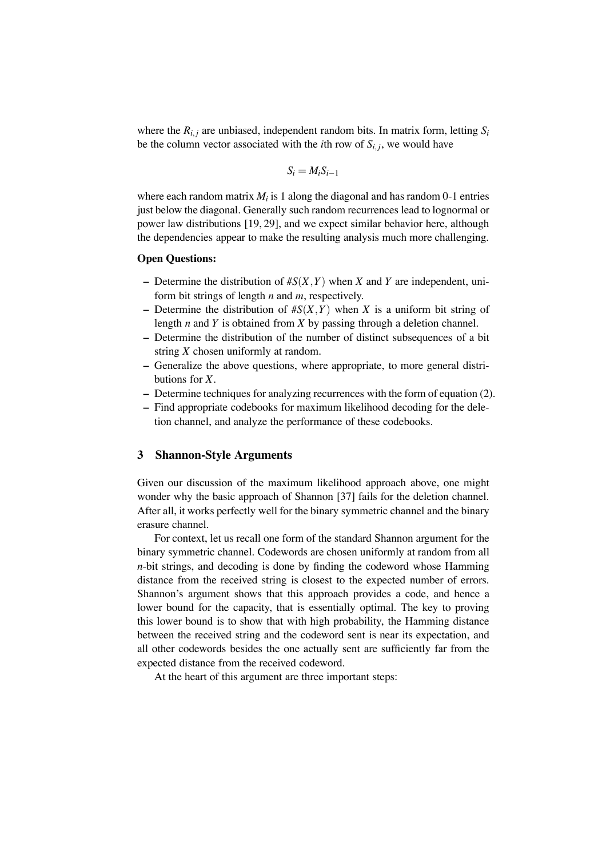where the  $R_{i,j}$  are unbiased, independent random bits. In matrix form, letting  $S_i$ be the column vector associated with the *i*th row of  $S_{i,j}$ , we would have

$$
S_i = M_i S_{i-1}
$$

where each random matrix  $M_i$  is 1 along the diagonal and has random 0-1 entries just below the diagonal. Generally such random recurrences lead to lognormal or power law distributions [19, 29], and we expect similar behavior here, although the dependencies appear to make the resulting analysis much more challenging.

#### **Open Questions:**

- **–** Determine the distribution of #*S*(*X*,*Y*) when *X* and *Y* are independent, uniform bit strings of length *n* and *m*, respectively.
- **–** Determine the distribution of #*S*(*X*,*Y*) when *X* is a uniform bit string of length *n* and *Y* is obtained from *X* by passing through a deletion channel.
- **–** Determine the distribution of the number of distinct subsequences of a bit string *X* chosen uniformly at random.
- **–** Generalize the above questions, where appropriate, to more general distributions for *X*.
- **–** Determine techniques for analyzing recurrences with the form of equation (2).
- **–** Find appropriate codebooks for maximum likelihood decoding for the deletion channel, and analyze the performance of these codebooks.

#### **3 Shannon-Style Arguments**

Given our discussion of the maximum likelihood approach above, one might wonder why the basic approach of Shannon [37] fails for the deletion channel. After all, it works perfectly well for the binary symmetric channel and the binary erasure channel.

For context, let us recall one form of the standard Shannon argument for the binary symmetric channel. Codewords are chosen uniformly at random from all *n*-bit strings, and decoding is done by finding the codeword whose Hamming distance from the received string is closest to the expected number of errors. Shannon's argument shows that this approach provides a code, and hence a lower bound for the capacity, that is essentially optimal. The key to proving this lower bound is to show that with high probability, the Hamming distance between the received string and the codeword sent is near its expectation, and all other codewords besides the one actually sent are sufficiently far from the expected distance from the received codeword.

At the heart of this argument are three important steps: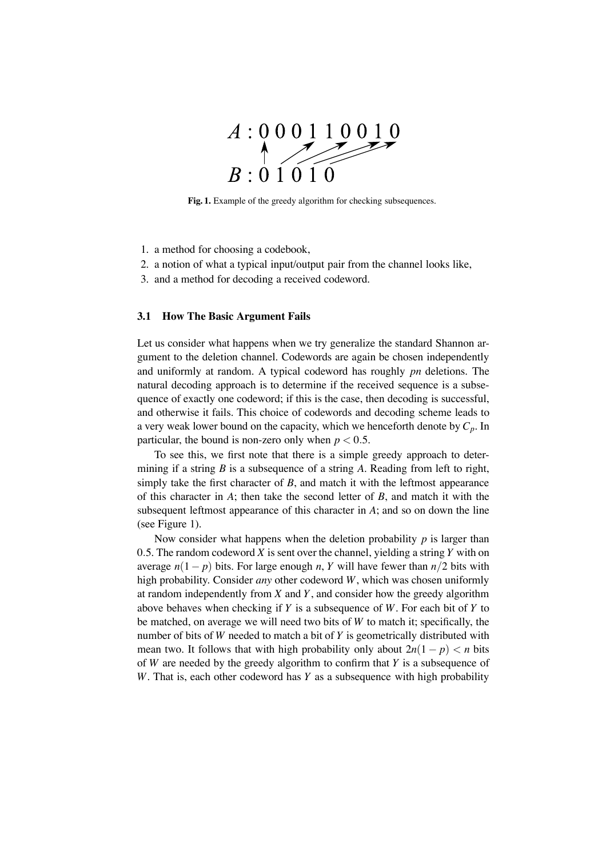

**Fig. 1.** Example of the greedy algorithm for checking subsequences.

- 1. a method for choosing a codebook,
- 2. a notion of what a typical input/output pair from the channel looks like,
- 3. and a method for decoding a received codeword.

#### **3.1 How The Basic Argument Fails**

Let us consider what happens when we try generalize the standard Shannon argument to the deletion channel. Codewords are again be chosen independently and uniformly at random. A typical codeword has roughly *pn* deletions. The natural decoding approach is to determine if the received sequence is a subsequence of exactly one codeword; if this is the case, then decoding is successful, and otherwise it fails. This choice of codewords and decoding scheme leads to a very weak lower bound on the capacity, which we henceforth denote by *Cp*. In particular, the bound is non-zero only when  $p < 0.5$ .

To see this, we first note that there is a simple greedy approach to determining if a string *B* is a subsequence of a string *A*. Reading from left to right, simply take the first character of  $B$ , and match it with the leftmost appearance of this character in *A*; then take the second letter of *B*, and match it with the subsequent leftmost appearance of this character in *A*; and so on down the line (see Figure 1).

Now consider what happens when the deletion probability *p* is larger than 0.5. The random codeword *X* is sent over the channel, yielding a string *Y* with on average  $n(1-p)$  bits. For large enough *n*, *Y* will have fewer than  $n/2$  bits with high probability. Consider *any* other codeword *W*, which was chosen uniformly at random independently from *X* and *Y*, and consider how the greedy algorithm above behaves when checking if *Y* is a subsequence of *W*. For each bit of *Y* to be matched, on average we will need two bits of *W* to match it; specifically, the number of bits of *W* needed to match a bit of *Y* is geometrically distributed with mean two. It follows that with high probability only about  $2n(1 - p) < n$  bits of *W* are needed by the greedy algorithm to confirm that *Y* is a subsequence of *W*. That is, each other codeword has *Y* as a subsequence with high probability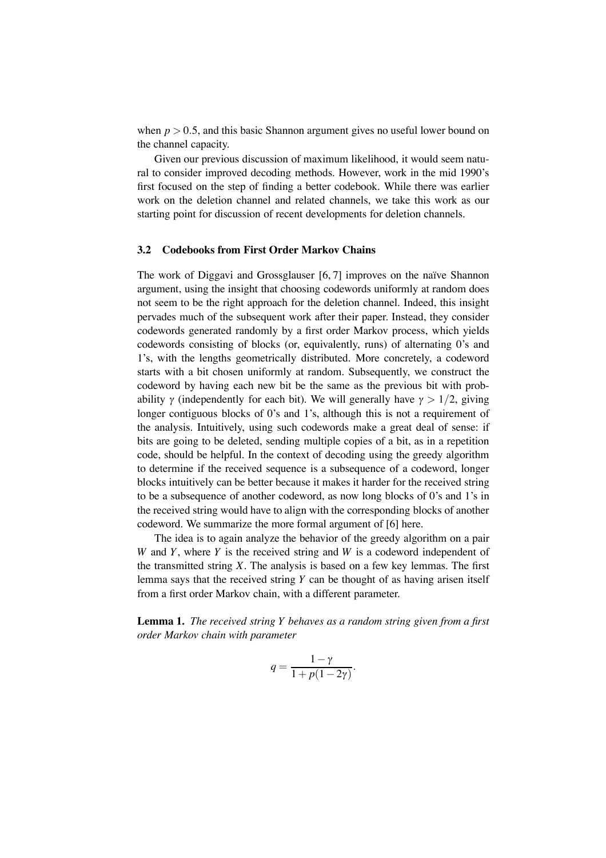when  $p > 0.5$ , and this basic Shannon argument gives no useful lower bound on the channel capacity.

Given our previous discussion of maximum likelihood, it would seem natural to consider improved decoding methods. However, work in the mid 1990's first focused on the step of finding a better codebook. While there was earlier work on the deletion channel and related channels, we take this work as our starting point for discussion of recent developments for deletion channels.

## **3.2 Codebooks from First Order Markov Chains**

The work of Diggavi and Grossglauser [6, 7] improves on the naïve Shannon argument, using the insight that choosing codewords uniformly at random does not seem to be the right approach for the deletion channel. Indeed, this insight pervades much of the subsequent work after their paper. Instead, they consider codewords generated randomly by a first order Markov process, which yields codewords consisting of blocks (or, equivalently, runs) of alternating 0's and 1's, with the lengths geometrically distributed. More concretely, a codeword starts with a bit chosen uniformly at random. Subsequently, we construct the codeword by having each new bit be the same as the previous bit with probability  $\gamma$  (independently for each bit). We will generally have  $\gamma > 1/2$ , giving longer contiguous blocks of 0's and 1's, although this is not a requirement of the analysis. Intuitively, using such codewords make a great deal of sense: if bits are going to be deleted, sending multiple copies of a bit, as in a repetition code, should be helpful. In the context of decoding using the greedy algorithm to determine if the received sequence is a subsequence of a codeword, longer blocks intuitively can be better because it makes it harder for the received string to be a subsequence of another codeword, as now long blocks of 0's and 1's in the received string would have to align with the corresponding blocks of another codeword. We summarize the more formal argument of [6] here.

The idea is to again analyze the behavior of the greedy algorithm on a pair *W* and *Y*, where *Y* is the received string and *W* is a codeword independent of the transmitted string *X*. The analysis is based on a few key lemmas. The first lemma says that the received string *Y* can be thought of as having arisen itself from a first order Markov chain, with a different parameter.

**Lemma 1.** *The received string Y behaves as a random string given from a first order Markov chain with parameter*

$$
q = \frac{1 - \gamma}{1 + p(1 - 2\gamma)}.
$$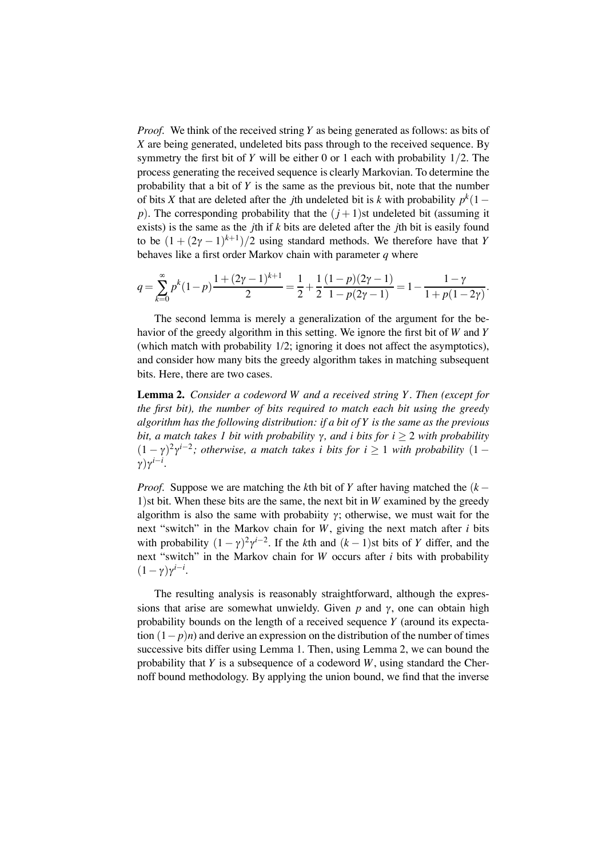*Proof.* We think of the received string *Y* as being generated as follows: as bits of *X* are being generated, undeleted bits pass through to the received sequence. By symmetry the first bit of  $Y$  will be either 0 or 1 each with probability  $1/2$ . The process generating the received sequence is clearly Markovian. To determine the probability that a bit of *Y* is the same as the previous bit, note that the number of bits *X* that are deleted after the *j*th undeleted bit is *k* with probability  $p^{k}(1-\alpha)$ *p*). The corresponding probability that the  $(j+1)$ st undeleted bit (assuming it exists) is the same as the *j*th if *k* bits are deleted after the *j*th bit is easily found to be  $(1 + (2\gamma - 1)^{k+1})/2$  using standard methods. We therefore have that *Y* behaves like a first order Markov chain with parameter *q* where

$$
q = \sum_{k=0}^{\infty} p^k (1-p) \frac{1 + (2\gamma - 1)^{k+1}}{2} = \frac{1}{2} + \frac{1}{2} \frac{(1-p)(2\gamma - 1)}{1 - p(2\gamma - 1)} = 1 - \frac{1 - \gamma}{1 + p(1 - 2\gamma)}.
$$

The second lemma is merely a generalization of the argument for the behavior of the greedy algorithm in this setting. We ignore the first bit of *W* and *Y* (which match with probability 1/2; ignoring it does not affect the asymptotics), and consider how many bits the greedy algorithm takes in matching subsequent bits. Here, there are two cases.

**Lemma 2.** *Consider a codeword W and a received string Y . Then (except for the first bit), the number of bits required to match each bit using the greedy algorithm has the following distribution: if a bit of Y is the same as the previous bit, a match takes 1 bit with probability* <sup>γ</sup>*, and i bits for i* ≥ 2 *with probability*  $(1 - \gamma)^2 \gamma^{i-2}$ ; *otherwise, a match takes i bits for i* ≥ 1 *with probability* (1 – <sup>γ</sup>)γ*i*−*<sup>i</sup> .*

*Proof.* Suppose we are matching the *k*th bit of *Y* after having matched the (*k* − 1)st bit. When these bits are the same, the next bit in *W* examined by the greedy algorithm is also the same with probabiity  $\gamma$ ; otherwise, we must wait for the next "switch" in the Markov chain for *W*, giving the next match after *i* bits with probability  $(1 - \gamma)^2 \gamma^{i-2}$ . If the *k*th and  $(k - 1)$ st bits of *Y* differ, and the next "switch" in the Markov chain for *W* occurs after *i* bits with probability  $(1-\gamma)\gamma^{i-i}$ .

The resulting analysis is reasonably straightforward, although the expressions that arise are somewhat unwieldy. Given *p* and <sup>γ</sup>, one can obtain high probability bounds on the length of a received sequence *Y* (around its expectation  $(1-p)n$  and derive an expression on the distribution of the number of times successive bits differ using Lemma 1. Then, using Lemma 2, we can bound the probability that *Y* is a subsequence of a codeword *W*, using standard the Chernoff bound methodology. By applying the union bound, we find that the inverse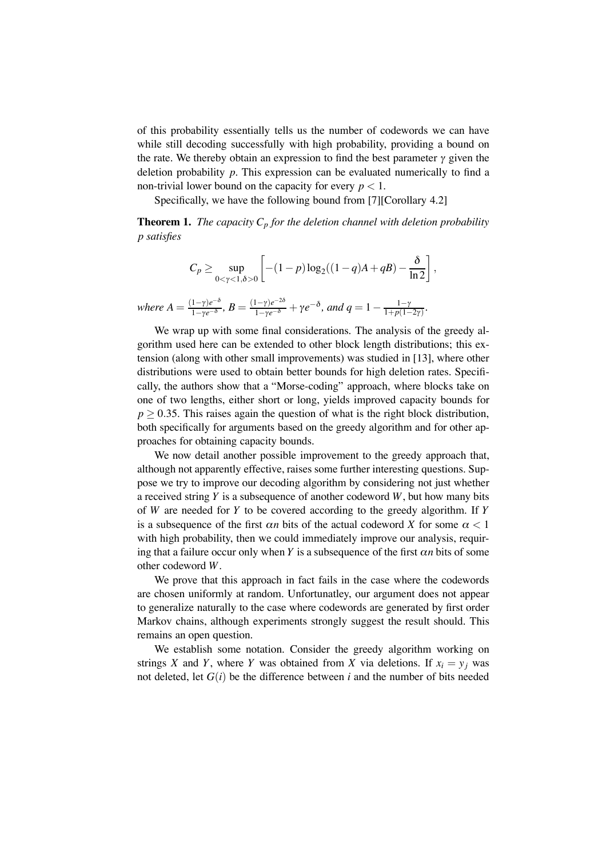of this probability essentially tells us the number of codewords we can have while still decoding successfully with high probability, providing a bound on the rate. We thereby obtain an expression to find the best parameter  $\gamma$  given the deletion probability *p*. This expression can be evaluated numerically to find a non-trivial lower bound on the capacity for every  $p < 1$ .

Specifically, we have the following bound from [7][Corollary 4.2]

**Theorem 1.** *The capacity*  $C_p$  *for the deletion channel with deletion probability p satisfies*

$$
C_p \ge \sup_{0 < \gamma < 1, \delta > 0} \left[ -(1-p) \log_2((1-q)A + qB) - \frac{\delta}{\ln 2} \right]
$$

,

 $where A = \frac{(1 - \gamma)e^{-\delta}}{1 - \gamma e^{-\delta}}, B = \frac{(1 - \gamma)e^{-2\delta}}{1 - \gamma e^{-\delta}} + \gamma e^{-\delta}, and q = 1 - \frac{1 - \gamma}{1 + p(1 - 2\gamma)}.$ 

We wrap up with some final considerations. The analysis of the greedy algorithm used here can be extended to other block length distributions; this extension (along with other small improvements) was studied in [13], where other distributions were used to obtain better bounds for high deletion rates. Specifically, the authors show that a "Morse-coding" approach, where blocks take on one of two lengths, either short or long, yields improved capacity bounds for  $p \geq 0.35$ . This raises again the question of what is the right block distribution, both specifically for arguments based on the greedy algorithm and for other approaches for obtaining capacity bounds.

We now detail another possible improvement to the greedy approach that, although not apparently effective, raises some further interesting questions. Suppose we try to improve our decoding algorithm by considering not just whether a received string *Y* is a subsequence of another codeword *W*, but how many bits of *W* are needed for *Y* to be covered according to the greedy algorithm. If *Y* is a subsequence of the first  $\alpha n$  bits of the actual codeword X for some  $\alpha < 1$ with high probability, then we could immediately improve our analysis, requiring that a failure occur only when  $Y$  is a subsequence of the first  $\alpha n$  bits of some other codeword *W*.

We prove that this approach in fact fails in the case where the codewords are chosen uniformly at random. Unfortunatley, our argument does not appear to generalize naturally to the case where codewords are generated by first order Markov chains, although experiments strongly suggest the result should. This remains an open question.

We establish some notation. Consider the greedy algorithm working on strings *X* and *Y*, where *Y* was obtained from *X* via deletions. If  $x_i = y_j$  was not deleted, let  $G(i)$  be the difference between *i* and the number of bits needed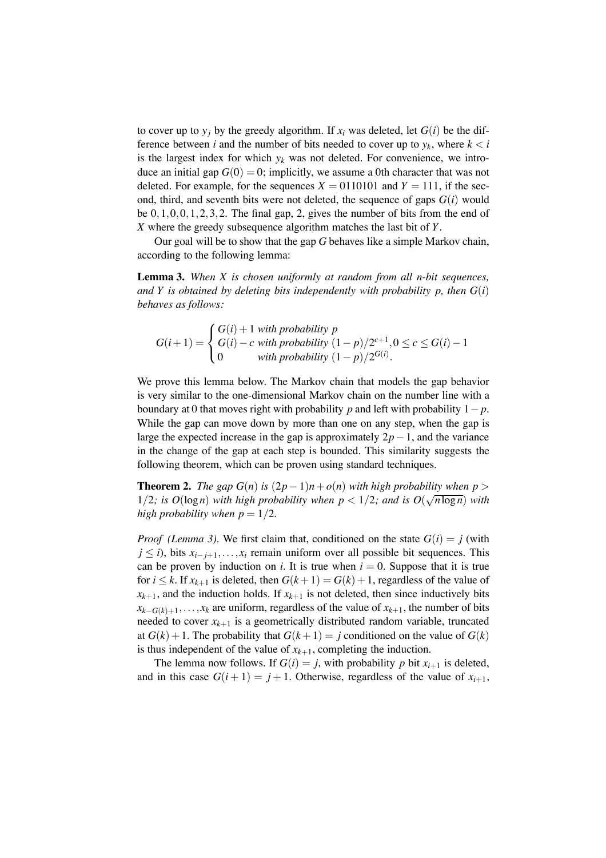to cover up to  $y_i$  by the greedy algorithm. If  $x_i$  was deleted, let  $G(i)$  be the difference between *i* and the number of bits needed to cover up to  $y_k$ , where  $k < i$ is the largest index for which  $y_k$  was not deleted. For convenience, we introduce an initial gap  $G(0) = 0$ ; implicitly, we assume a 0th character that was not deleted. For example, for the sequences  $X = 0110101$  and  $Y = 111$ , if the second, third, and seventh bits were not deleted, the sequence of gaps  $G(i)$  would be  $0, 1, 0, 0, 1, 2, 3, 2$ . The final gap, 2, gives the number of bits from the end of *X* where the greedy subsequence algorithm matches the last bit of *Y*.

Our goal will be to show that the gap *G* behaves like a simple Markov chain, according to the following lemma:

**Lemma 3.** *When X is chosen uniformly at random from all n-bit sequences,* and Y is obtained by deleting bits independently with probability p, then  $G(i)$ *behaves as follows:*

$$
G(i+1) = \begin{cases} G(i) + 1 \text{ with probability } p \\ G(i) - c \text{ with probability } (1-p)/2^{c+1}, 0 \le c \le G(i) - 1 \\ 0 \qquad \text{with probability } (1-p)/2^{G(i)}. \end{cases}
$$

We prove this lemma below. The Markov chain that models the gap behavior is very similar to the one-dimensional Markov chain on the number line with a boundary at 0 that moves right with probability *p* and left with probability  $1-p$ . While the gap can move down by more than one on any step, when the gap is large the expected increase in the gap is approximately 2*p*−1, and the variance in the change of the gap at each step is bounded. This similarity suggests the following theorem, which can be proven using standard techniques.

**Theorem 2.** *The gap*  $G(n)$  *is*  $(2p-1)n + o(n)$  *with high probability when*  $p >$ **1/2***;* is  $O(\log n)$  with high probability when  $p < 1/2$ *;* and is  $O(\sqrt{n \log n})$  with  $1/2$ *;* and is  $O(\sqrt{n \log n})$  with *high probability when*  $p = 1/2$ *.* 

*Proof (Lemma 3).* We first claim that, conditioned on the state  $G(i) = j$  (with  $j \leq i$ , bits  $x_{i-j+1}, \ldots, x_i$  remain uniform over all possible bit sequences. This can be proven by induction on *i*. It is true when  $i = 0$ . Suppose that it is true for  $i \leq k$ . If  $x_{k+1}$  is deleted, then  $G(k+1) = G(k) + 1$ , regardless of the value of  $x_{k+1}$ , and the induction holds. If  $x_{k+1}$  is not deleted, then since inductively bits  $x_{k-G(k)+1},...,x_k$  are uniform, regardless of the value of  $x_{k+1}$ , the number of bits needed to cover  $x_{k+1}$  is a geometrically distributed random variable, truncated at  $G(k) + 1$ . The probability that  $G(k+1) = j$  conditioned on the value of  $G(k)$ is thus independent of the value of  $x_{k+1}$ , completing the induction.

The lemma now follows. If  $G(i) = j$ , with probability p bit  $x_{i+1}$  is deleted, and in this case  $G(i+1) = j+1$ . Otherwise, regardless of the value of  $x_{i+1}$ ,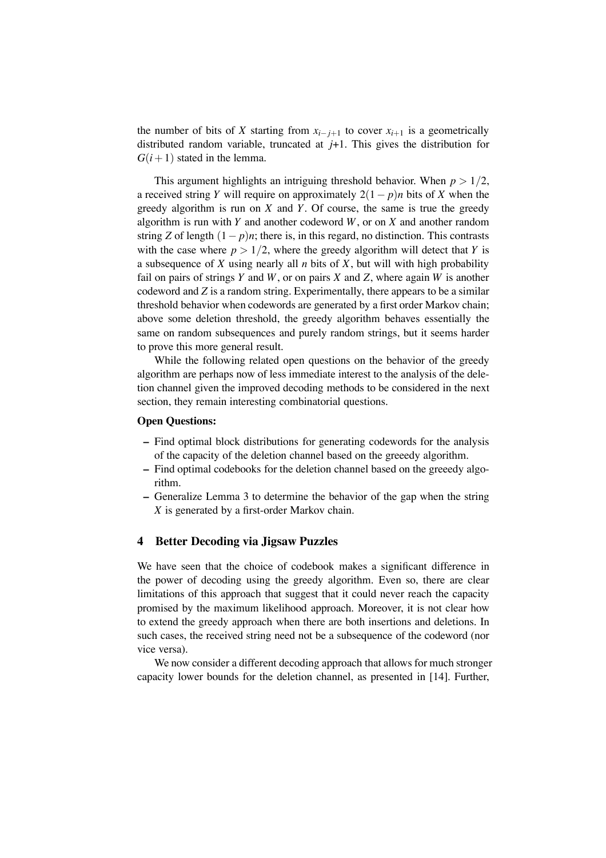the number of bits of *X* starting from  $x_{i-j+1}$  to cover  $x_{i+1}$  is a geometrically distributed random variable, truncated at *j*+1. This gives the distribution for  $G(i+1)$  stated in the lemma.

This argument highlights an intriguing threshold behavior. When  $p > 1/2$ , a received string *Y* will require on approximately  $2(1-p)n$  bits of *X* when the greedy algorithm is run on *X* and *Y*. Of course, the same is true the greedy algorithm is run with *Y* and another codeword *W*, or on *X* and another random string *Z* of length  $(1 - p)n$ ; there is, in this regard, no distinction. This contrasts with the case where  $p > 1/2$ , where the greedy algorithm will detect that *Y* is a subsequence of *X* using nearly all *n* bits of *X*, but will with high probability fail on pairs of strings *Y* and *W*, or on pairs *X* and *Z*, where again *W* is another codeword and *Z* is a random string. Experimentally, there appears to be a similar threshold behavior when codewords are generated by a first order Markov chain; above some deletion threshold, the greedy algorithm behaves essentially the same on random subsequences and purely random strings, but it seems harder to prove this more general result.

While the following related open questions on the behavior of the greedy algorithm are perhaps now of less immediate interest to the analysis of the deletion channel given the improved decoding methods to be considered in the next section, they remain interesting combinatorial questions.

#### **Open Questions:**

- **–** Find optimal block distributions for generating codewords for the analysis of the capacity of the deletion channel based on the greeedy algorithm.
- **–** Find optimal codebooks for the deletion channel based on the greeedy algorithm.
- **–** Generalize Lemma 3 to determine the behavior of the gap when the string *X* is generated by a first-order Markov chain.

# **4 Better Decoding via Jigsaw Puzzles**

We have seen that the choice of codebook makes a significant difference in the power of decoding using the greedy algorithm. Even so, there are clear limitations of this approach that suggest that it could never reach the capacity promised by the maximum likelihood approach. Moreover, it is not clear how to extend the greedy approach when there are both insertions and deletions. In such cases, the received string need not be a subsequence of the codeword (nor vice versa).

We now consider a different decoding approach that allows for much stronger capacity lower bounds for the deletion channel, as presented in [14]. Further,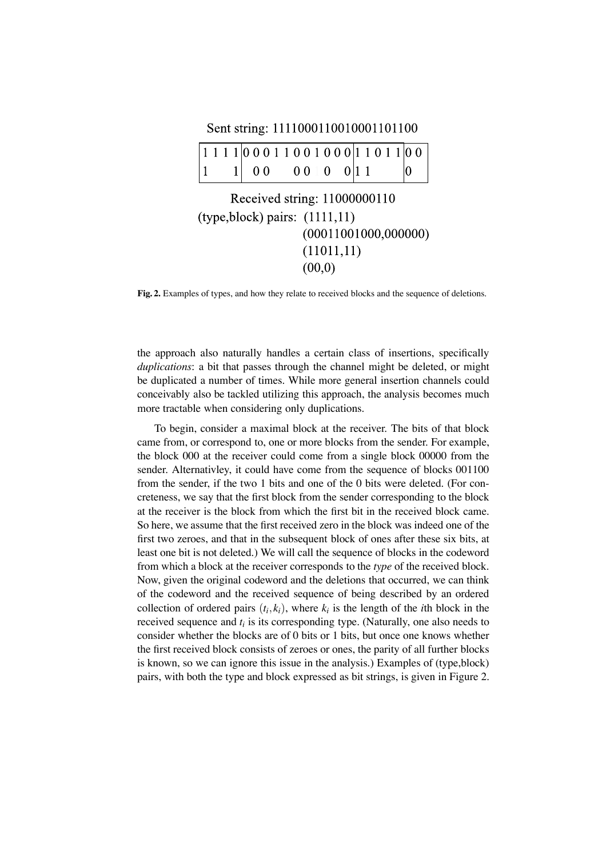Sent string: 1111000110010001101100

|                                   |  | $\left[1\ 1\ 1\ 1\ 0\ 0\ 0\ 1\ 1\ 0\ 0\ 1\ 0\ 0\ 0\right]$ $\left[1\ 1\ 0\ 1\ 1\ 0\ 0\ \right]$ |             |  |  |  |  |  |
|-----------------------------------|--|-------------------------------------------------------------------------------------------------|-------------|--|--|--|--|--|
|                                   |  |                                                                                                 | 00000100011 |  |  |  |  |  |
| Received string: 11000000110      |  |                                                                                                 |             |  |  |  |  |  |
| (type, block) pairs: $(1111, 11)$ |  |                                                                                                 |             |  |  |  |  |  |
| (00011001000, 000000)             |  |                                                                                                 |             |  |  |  |  |  |
| (11011,11)                        |  |                                                                                                 |             |  |  |  |  |  |

**Fig. 2.** Examples of types, and how they relate to received blocks and the sequence of deletions.

 $(00.0)$ 

the approach also naturally handles a certain class of insertions, specifically *duplications*: a bit that passes through the channel might be deleted, or might be duplicated a number of times. While more general insertion channels could conceivably also be tackled utilizing this approach, the analysis becomes much more tractable when considering only duplications.

To begin, consider a maximal block at the receiver. The bits of that block came from, or correspond to, one or more blocks from the sender. For example, the block 000 at the receiver could come from a single block 00000 from the sender. Alternativley, it could have come from the sequence of blocks 001100 from the sender, if the two 1 bits and one of the 0 bits were deleted. (For concreteness, we say that the first block from the sender corresponding to the block at the receiver is the block from which the first bit in the received block came. So here, we assume that the first received zero in the block was indeed one of the first two zeroes, and that in the subsequent block of ones after these six bits, at least one bit is not deleted.) We will call the sequence of blocks in the codeword from which a block at the receiver corresponds to the *type* of the received block. Now, given the original codeword and the deletions that occurred, we can think of the codeword and the received sequence of being described by an ordered collection of ordered pairs  $(t_i, k_i)$ , where  $k_i$  is the length of the *i*th block in the received sequence and *ti* is its corresponding type. (Naturally, one also needs to consider whether the blocks are of 0 bits or 1 bits, but once one knows whether the first received block consists of zeroes or ones, the parity of all further blocks is known, so we can ignore this issue in the analysis.) Examples of (type,block) pairs, with both the type and block expressed as bit strings, is given in Figure 2.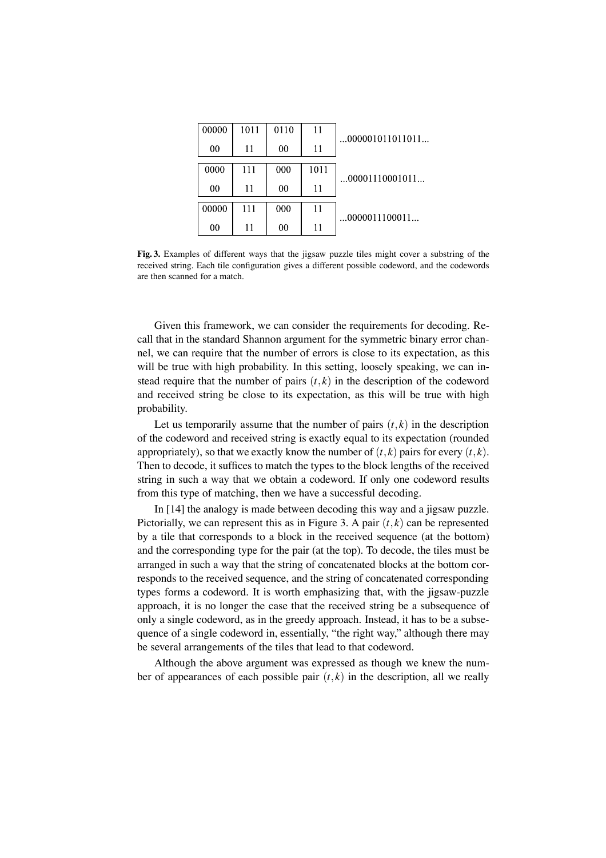| 00000 | 1011 | 0110 | 11   | 000001011011011               |  |  |
|-------|------|------|------|-------------------------------|--|--|
| 00    | 11   | 00   | 11   |                               |  |  |
| 0000  | 111  | 000  | 1011 | 00001110001011                |  |  |
| 00    | 11   | 00   | 11   |                               |  |  |
| 00000 | 111  | 000  | 11   |                               |  |  |
| 00    | 11   | 00   | 11   | $\dots$ 0000011100011 $\dots$ |  |  |

**Fig. 3.** Examples of different ways that the jigsaw puzzle tiles might cover a substring of the received string. Each tile configuration gives a different possible codeword, and the codewords are then scanned for a match.

Given this framework, we can consider the requirements for decoding. Recall that in the standard Shannon argument for the symmetric binary error channel, we can require that the number of errors is close to its expectation, as this will be true with high probability. In this setting, loosely speaking, we can instead require that the number of pairs  $(t, k)$  in the description of the codeword and received string be close to its expectation, as this will be true with high probability.

Let us temporarily assume that the number of pairs  $(t, k)$  in the description of the codeword and received string is exactly equal to its expectation (rounded appropriately), so that we exactly know the number of  $(t, k)$  pairs for every  $(t, k)$ . Then to decode, it suffices to match the types to the block lengths of the received string in such a way that we obtain a codeword. If only one codeword results from this type of matching, then we have a successful decoding.

In [14] the analogy is made between decoding this way and a jigsaw puzzle. Pictorially, we can represent this as in Figure 3. A pair  $(t, k)$  can be represented by a tile that corresponds to a block in the received sequence (at the bottom) and the corresponding type for the pair (at the top). To decode, the tiles must be arranged in such a way that the string of concatenated blocks at the bottom corresponds to the received sequence, and the string of concatenated corresponding types forms a codeword. It is worth emphasizing that, with the jigsaw-puzzle approach, it is no longer the case that the received string be a subsequence of only a single codeword, as in the greedy approach. Instead, it has to be a subsequence of a single codeword in, essentially, "the right way," although there may be several arrangements of the tiles that lead to that codeword.

Although the above argument was expressed as though we knew the number of appearances of each possible pair  $(t, k)$  in the description, all we really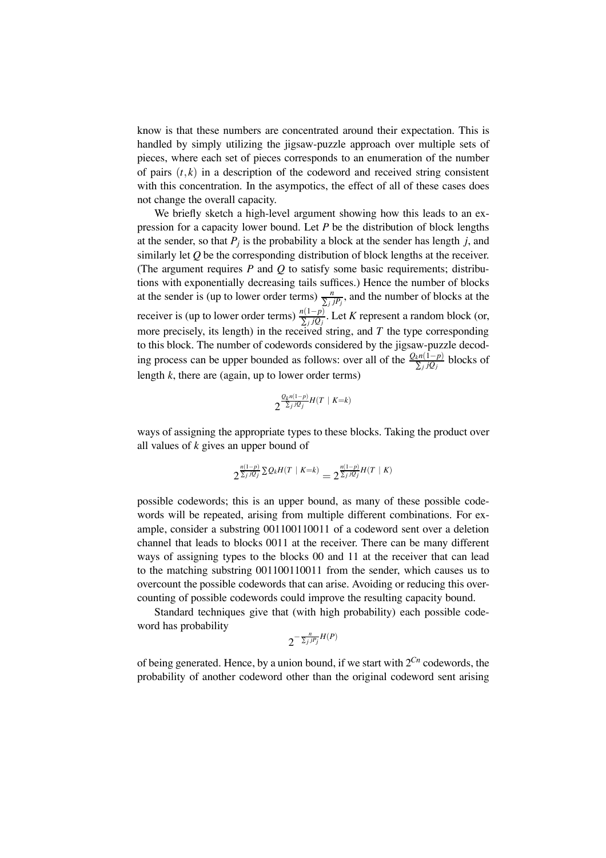know is that these numbers are concentrated around their expectation. This is handled by simply utilizing the jigsaw-puzzle approach over multiple sets of pieces, where each set of pieces corresponds to an enumeration of the number of pairs  $(t, k)$  in a description of the codeword and received string consistent with this concentration. In the asympotics, the effect of all of these cases does not change the overall capacity.

We briefly sketch a high-level argument showing how this leads to an expression for a capacity lower bound. Let *P* be the distribution of block lengths at the sender, so that  $P_i$  is the probability a block at the sender has length  $j$ , and similarly let  $Q$  be the corresponding distribution of block lengths at the receiver. (The argument requires *P* and *Q* to satisfy some basic requirements; distributions with exponentially decreasing tails suffices.) Hence the number of blocks at the sender is (up to lower order terms)  $\frac{n}{\sum_j j P_j}$ , and the number of blocks at the receiver is (up to lower order terms)  $\frac{n(1-p)}{\sum_j jQ_j}$ . Let *K* represent a random block (or, more precisely, its length) in the received string, and *T* the type corresponding to this block. The number of codewords considered by the jigsaw-puzzle decoding process can be upper bounded as follows: over all of the  $\frac{Q_k n(1-p)}{\sum_j j Q_j}$  blocks of length  $k$ , there are (again, up to lower order terms)

$$
2^{\frac{Q_k n(1-p)}{\sum_j j Q_j} H(T \mid K=k)}
$$

ways of assigning the appropriate types to these blocks. Taking the product over all values of *k* gives an upper bound of

$$
2^{\frac{n(1-p)}{\sum_j jQ_j} \sum Q_k H(T \mid K=k)} = 2^{\frac{n(1-p)}{\sum_j jQ_j} H(T \mid K)}
$$

possible codewords; this is an upper bound, as many of these possible codewords will be repeated, arising from multiple different combinations. For example, consider a substring 001100110011 of a codeword sent over a deletion channel that leads to blocks 0011 at the receiver. There can be many different ways of assigning types to the blocks 00 and 11 at the receiver that can lead to the matching substring 001100110011 from the sender, which causes us to overcount the possible codewords that can arise. Avoiding or reducing this overcounting of possible codewords could improve the resulting capacity bound.

Standard techniques give that (with high probability) each possible codeword has probability

$$
2^{-\frac{n}{\sum_j j P_j}H(P)}
$$

of being generated. Hence, by a union bound, if we start with 2*Cn* codewords, the probability of another codeword other than the original codeword sent arising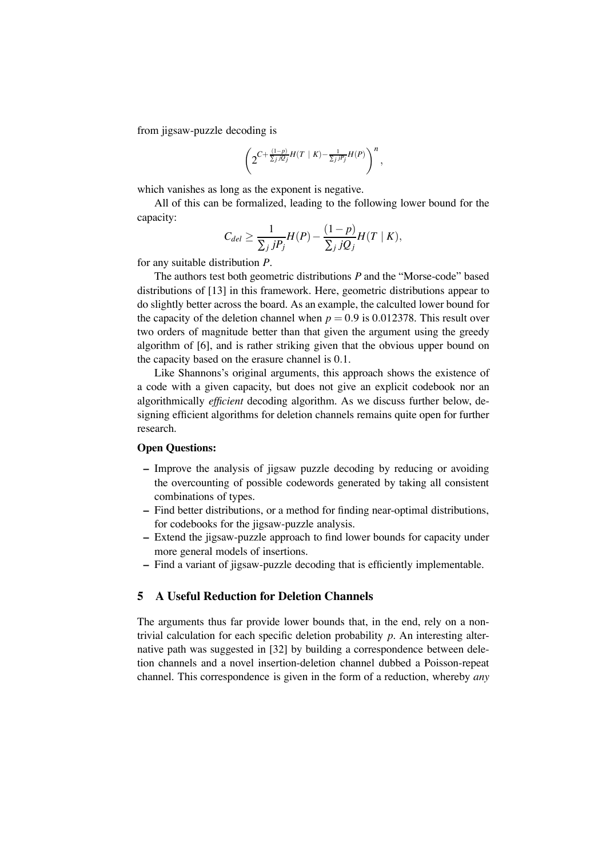from jigsaw-puzzle decoding is

$$
\left(2^{C+\frac{(1-p)}{\sum_j jQ_j}H(T\mid K)-\frac{1}{\sum_j jP_j}H(P)}\right)^n,
$$

which vanishes as long as the exponent is negative.

All of this can be formalized, leading to the following lower bound for the capacity:

$$
C_{del} \ge \frac{1}{\sum_j j P_j} H(P) - \frac{(1-p)}{\sum_j j Q_j} H(T \mid K),
$$

for any suitable distribution *P*.

The authors test both geometric distributions *P* and the "Morse-code" based distributions of [13] in this framework. Here, geometric distributions appear to do slightly better across the board. As an example, the calculted lower bound for the capacity of the deletion channel when  $p = 0.9$  is 0.012378. This result over two orders of magnitude better than that given the argument using the greedy algorithm of [6], and is rather striking given that the obvious upper bound on the capacity based on the erasure channel is 0.1.

Like Shannons's original arguments, this approach shows the existence of a code with a given capacity, but does not give an explicit codebook nor an algorithmically *efficient* decoding algorithm. As we discuss further below, designing efficient algorithms for deletion channels remains quite open for further research.

#### **Open Questions:**

- **–** Improve the analysis of jigsaw puzzle decoding by reducing or avoiding the overcounting of possible codewords generated by taking all consistent combinations of types.
- **–** Find better distributions, or a method for finding near-optimal distributions, for codebooks for the jigsaw-puzzle analysis.
- **–** Extend the jigsaw-puzzle approach to find lower bounds for capacity under more general models of insertions.
- **–** Find a variant of jigsaw-puzzle decoding that is efficiently implementable.

# **5 A Useful Reduction for Deletion Channels**

The arguments thus far provide lower bounds that, in the end, rely on a nontrivial calculation for each specific deletion probability *p*. An interesting alternative path was suggested in [32] by building a correspondence between deletion channels and a novel insertion-deletion channel dubbed a Poisson-repeat channel. This correspondence is given in the form of a reduction, whereby *any*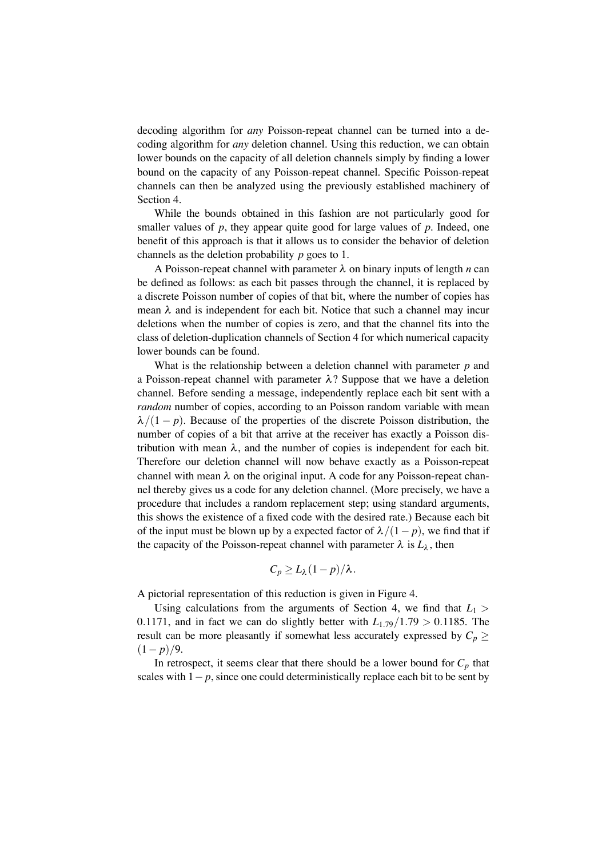decoding algorithm for *any* Poisson-repeat channel can be turned into a decoding algorithm for *any* deletion channel. Using this reduction, we can obtain lower bounds on the capacity of all deletion channels simply by finding a lower bound on the capacity of any Poisson-repeat channel. Specific Poisson-repeat channels can then be analyzed using the previously established machinery of Section 4.

While the bounds obtained in this fashion are not particularly good for smaller values of *p*, they appear quite good for large values of *p*. Indeed, one benefit of this approach is that it allows us to consider the behavior of deletion channels as the deletion probability *p* goes to 1.

A Poisson-repeat channel with parameter λ on binary inputs of length *n* can be defined as follows: as each bit passes through the channel, it is replaced by a discrete Poisson number of copies of that bit, where the number of copies has mean  $\lambda$  and is independent for each bit. Notice that such a channel may incur deletions when the number of copies is zero, and that the channel fits into the class of deletion-duplication channels of Section 4 for which numerical capacity lower bounds can be found.

What is the relationship between a deletion channel with parameter *p* and a Poisson-repeat channel with parameter  $\lambda$ ? Suppose that we have a deletion channel. Before sending a message, independently replace each bit sent with a *random* number of copies, according to an Poisson random variable with mean  $\lambda/(1-p)$ . Because of the properties of the discrete Poisson distribution, the number of copies of a bit that arrive at the receiver has exactly a Poisson distribution with mean  $\lambda$ , and the number of copies is independent for each bit. Therefore our deletion channel will now behave exactly as a Poisson-repeat channel with mean  $\lambda$  on the original input. A code for any Poisson-repeat channel thereby gives us a code for any deletion channel. (More precisely, we have a procedure that includes a random replacement step; using standard arguments, this shows the existence of a fixed code with the desired rate.) Because each bit of the input must be blown up by a expected factor of  $\lambda/(1-p)$ , we find that if the capacity of the Poisson-repeat channel with parameter  $\lambda$  is  $L_{\lambda}$ , then

$$
C_p \geq L_{\lambda}(1-p)/\lambda.
$$

A pictorial representation of this reduction is given in Figure 4.

Using calculations from the arguments of Section 4, we find that  $L_1$ 0.1171, and in fact we can do slightly better with  $L_{1.79}/1.79 > 0.1185$ . The result can be more pleasantly if somewhat less accurately expressed by  $C_p \geq$  $(1-p)/9$ .

In retrospect, it seems clear that there should be a lower bound for  $C_p$  that scales with  $1-p$ , since one could deterministically replace each bit to be sent by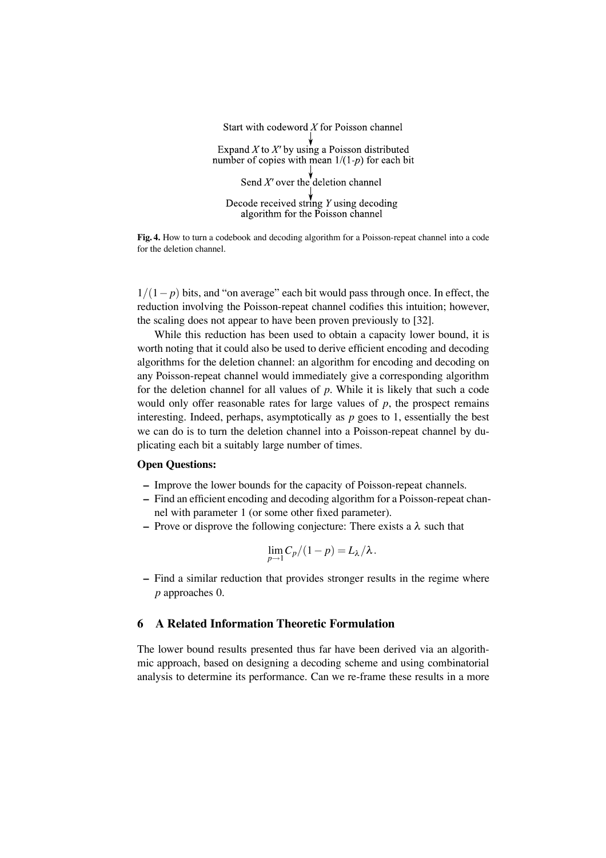

**Fig. 4.** How to turn a codebook and decoding algorithm for a Poisson-repeat channel into a code for the deletion channel.

 $1/(1-p)$  bits, and "on average" each bit would pass through once. In effect, the reduction involving the Poisson-repeat channel codifies this intuition; however, the scaling does not appear to have been proven previously to [32].

While this reduction has been used to obtain a capacity lower bound, it is worth noting that it could also be used to derive efficient encoding and decoding algorithms for the deletion channel: an algorithm for encoding and decoding on any Poisson-repeat channel would immediately give a corresponding algorithm for the deletion channel for all values of *p*. While it is likely that such a code would only offer reasonable rates for large values of  $p$ , the prospect remains interesting. Indeed, perhaps, asymptotically as *p* goes to 1, essentially the best we can do is to turn the deletion channel into a Poisson-repeat channel by duplicating each bit a suitably large number of times.

#### **Open Questions:**

- **–** Improve the lower bounds for the capacity of Poisson-repeat channels.
- **–** Find an efficient encoding and decoding algorithm for a Poisson-repeat channel with parameter 1 (or some other fixed parameter).
- **–** Prove or disprove the following conjecture: There exists a  $\lambda$  such that

$$
\lim_{p\to 1}C_p/(1-p)=L_{\lambda}/\lambda.
$$

**–** Find a similar reduction that provides stronger results in the regime where *p* approaches 0.

## **6 A Related Information Theoretic Formulation**

The lower bound results presented thus far have been derived via an algorithmic approach, based on designing a decoding scheme and using combinatorial analysis to determine its performance. Can we re-frame these results in a more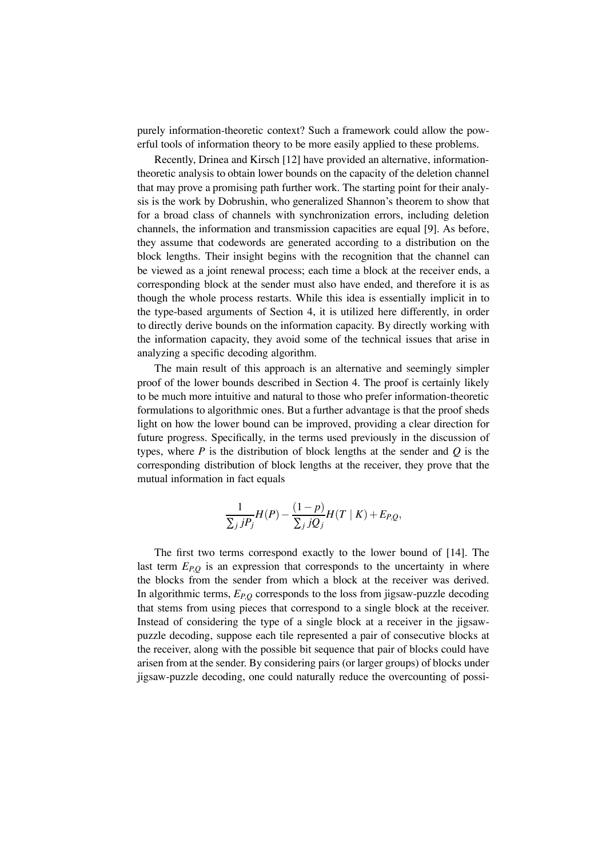purely information-theoretic context? Such a framework could allow the powerful tools of information theory to be more easily applied to these problems.

Recently, Drinea and Kirsch [12] have provided an alternative, informationtheoretic analysis to obtain lower bounds on the capacity of the deletion channel that may prove a promising path further work. The starting point for their analysis is the work by Dobrushin, who generalized Shannon's theorem to show that for a broad class of channels with synchronization errors, including deletion channels, the information and transmission capacities are equal [9]. As before, they assume that codewords are generated according to a distribution on the block lengths. Their insight begins with the recognition that the channel can be viewed as a joint renewal process; each time a block at the receiver ends, a corresponding block at the sender must also have ended, and therefore it is as though the whole process restarts. While this idea is essentially implicit in to the type-based arguments of Section 4, it is utilized here differently, in order to directly derive bounds on the information capacity. By directly working with the information capacity, they avoid some of the technical issues that arise in analyzing a specific decoding algorithm.

The main result of this approach is an alternative and seemingly simpler proof of the lower bounds described in Section 4. The proof is certainly likely to be much more intuitive and natural to those who prefer information-theoretic formulations to algorithmic ones. But a further advantage is that the proof sheds light on how the lower bound can be improved, providing a clear direction for future progress. Specifically, in the terms used previously in the discussion of types, where *P* is the distribution of block lengths at the sender and *Q* is the corresponding distribution of block lengths at the receiver, they prove that the mutual information in fact equals

$$
\frac{1}{\sum_j j P_j} H(P) - \frac{(1-p)}{\sum_j j Q_j} H(T \mid K) + E_{P,Q},
$$

The first two terms correspond exactly to the lower bound of [14]. The last term  $E_{PO}$  is an expression that corresponds to the uncertainty in where the blocks from the sender from which a block at the receiver was derived. In algorithmic terms, *EP*,*<sup>Q</sup>* corresponds to the loss from jigsaw-puzzle decoding that stems from using pieces that correspond to a single block at the receiver. Instead of considering the type of a single block at a receiver in the jigsawpuzzle decoding, suppose each tile represented a pair of consecutive blocks at the receiver, along with the possible bit sequence that pair of blocks could have arisen from at the sender. By considering pairs (or larger groups) of blocks under jigsaw-puzzle decoding, one could naturally reduce the overcounting of possi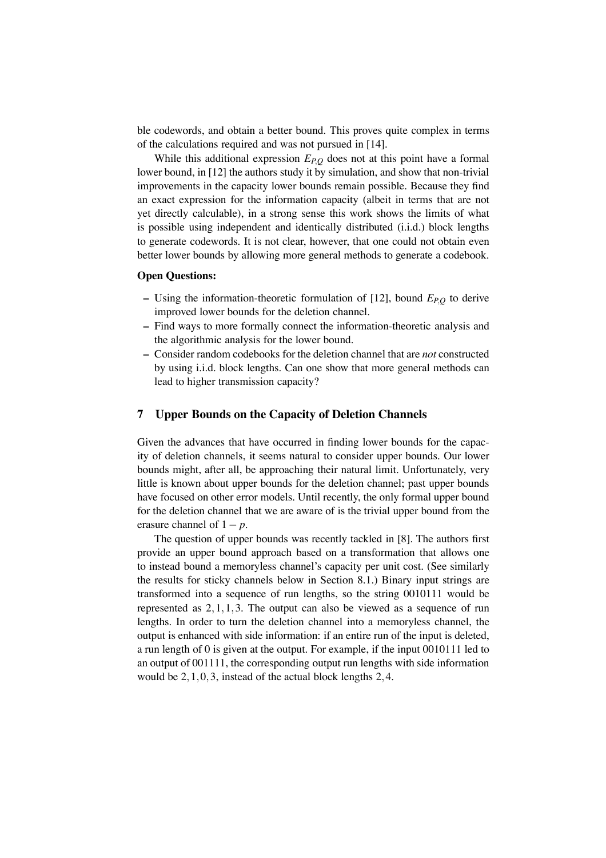ble codewords, and obtain a better bound. This proves quite complex in terms of the calculations required and was not pursued in [14].

While this additional expression  $E_{PO}$  does not at this point have a formal lower bound, in [12] the authors study it by simulation, and show that non-trivial improvements in the capacity lower bounds remain possible. Because they find an exact expression for the information capacity (albeit in terms that are not yet directly calculable), in a strong sense this work shows the limits of what is possible using independent and identically distributed (i.i.d.) block lengths to generate codewords. It is not clear, however, that one could not obtain even better lower bounds by allowing more general methods to generate a codebook.

#### **Open Questions:**

- $-$  Using the information-theoretic formulation of [12], bound  $E_{PO}$  to derive improved lower bounds for the deletion channel.
- **–** Find ways to more formally connect the information-theoretic analysis and the algorithmic analysis for the lower bound.
- **–** Consider random codebooks for the deletion channel that are *not* constructed by using i.i.d. block lengths. Can one show that more general methods can lead to higher transmission capacity?

#### **7 Upper Bounds on the Capacity of Deletion Channels**

Given the advances that have occurred in finding lower bounds for the capacity of deletion channels, it seems natural to consider upper bounds. Our lower bounds might, after all, be approaching their natural limit. Unfortunately, very little is known about upper bounds for the deletion channel; past upper bounds have focused on other error models. Until recently, the only formal upper bound for the deletion channel that we are aware of is the trivial upper bound from the erasure channel of 1− *p*.

The question of upper bounds was recently tackled in [8]. The authors first provide an upper bound approach based on a transformation that allows one to instead bound a memoryless channel's capacity per unit cost. (See similarly the results for sticky channels below in Section 8.1.) Binary input strings are transformed into a sequence of run lengths, so the string 0010111 would be represented as 2,1,1,3. The output can also be viewed as a sequence of run lengths. In order to turn the deletion channel into a memoryless channel, the output is enhanced with side information: if an entire run of the input is deleted, a run length of 0 is given at the output. For example, if the input 0010111 led to an output of 001111, the corresponding output run lengths with side information would be 2,1,0,3, instead of the actual block lengths 2,4.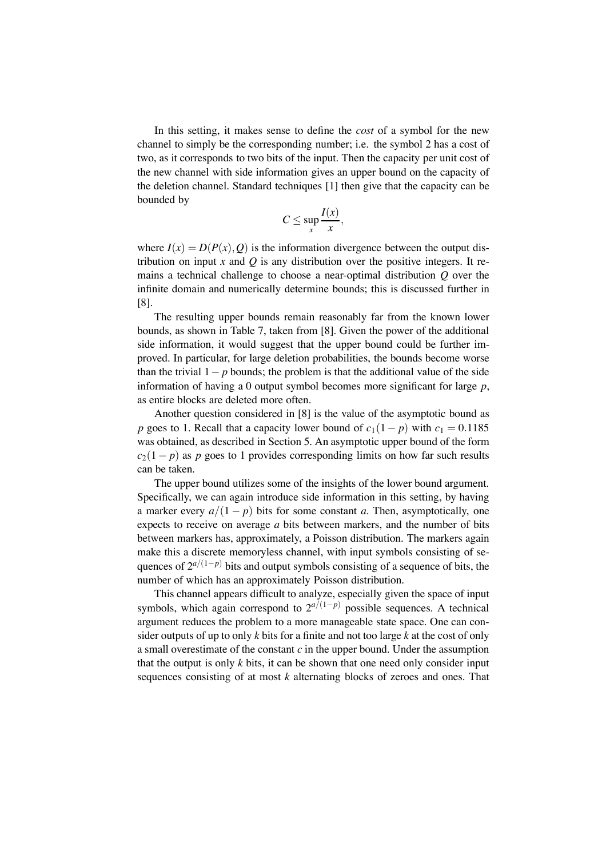In this setting, it makes sense to define the *cost* of a symbol for the new channel to simply be the corresponding number; i.e. the symbol 2 has a cost of two, as it corresponds to two bits of the input. Then the capacity per unit cost of the new channel with side information gives an upper bound on the capacity of the deletion channel. Standard techniques [1] then give that the capacity can be bounded by

$$
C \le \sup_x \frac{I(x)}{x},
$$

where  $I(x) = D(P(x), Q)$  is the information divergence between the output distribution on input  $x$  and  $Q$  is any distribution over the positive integers. It remains a technical challenge to choose a near-optimal distribution *Q* over the infinite domain and numerically determine bounds; this is discussed further in [8].

The resulting upper bounds remain reasonably far from the known lower bounds, as shown in Table 7, taken from [8]. Given the power of the additional side information, it would suggest that the upper bound could be further improved. In particular, for large deletion probabilities, the bounds become worse than the trivial  $1-p$  bounds; the problem is that the additional value of the side information of having a 0 output symbol becomes more significant for large *p*, as entire blocks are deleted more often.

Another question considered in [8] is the value of the asymptotic bound as *p* goes to 1. Recall that a capacity lower bound of  $c_1(1-p)$  with  $c_1 = 0.1185$ was obtained, as described in Section 5. An asymptotic upper bound of the form  $c_2(1-p)$  as *p* goes to 1 provides corresponding limits on how far such results can be taken.

The upper bound utilizes some of the insights of the lower bound argument. Specifically, we can again introduce side information in this setting, by having a marker every  $a/(1-p)$  bits for some constant *a*. Then, asymptotically, one expects to receive on average *a* bits between markers, and the number of bits between markers has, approximately, a Poisson distribution. The markers again make this a discrete memoryless channel, with input symbols consisting of sequences of  $2^{a/(1-p)}$  bits and output symbols consisting of a sequence of bits, the number of which has an approximately Poisson distribution.

This channel appears difficult to analyze, especially given the space of input symbols, which again correspond to  $2^{a/(1-p)}$  possible sequences. A technical argument reduces the problem to a more manageable state space. One can consider outputs of up to only *k* bits for a finite and not too large *k* at the cost of only a small overestimate of the constant *c* in the upper bound. Under the assumption that the output is only *k* bits, it can be shown that one need only consider input sequences consisting of at most *k* alternating blocks of zeroes and ones. That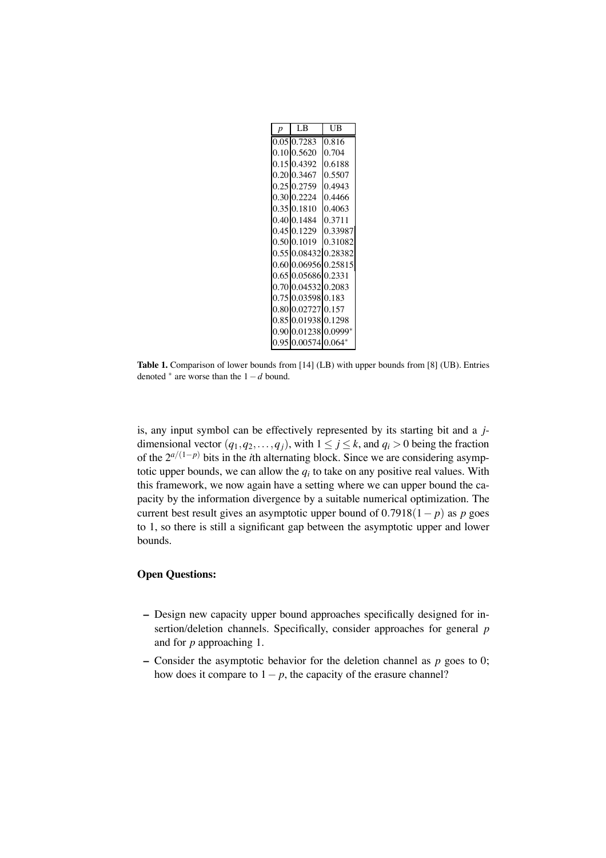| $\boldsymbol{p}$ | LB.                  | UB      |
|------------------|----------------------|---------|
|                  | 0.0510.7283          | 0.816   |
|                  | 0.1010.5620          | 0.704   |
|                  | 0.15 0.4392          | 0.6188  |
|                  | 0.2010.3467          | 0.5507  |
|                  | 0.2510.2759          | 0.4943  |
|                  | 0.3010.2224          | 0.4466  |
|                  | 0.35 0.1810          | 0.4063  |
|                  | 0.40 0.1484          | 0.3711  |
|                  | 0.4510.1229          | 0.33987 |
|                  | 0.50 0.1019          | 0.31082 |
|                  | 0.55 0.08432         | 0.28382 |
|                  | 0.6010.069561        | 0.25815 |
|                  | 0.65 0.05686 0.2331  |         |
|                  | 0.7010.0453210.2083  |         |
|                  | 0.75 0.03598 0.183   |         |
|                  | 0.8010.0272710.157   |         |
|                  | 0.8510.0193810.1298  |         |
|                  | 0.9010.0123810.0999* |         |
|                  | 0.9510.0057410.064*  |         |

**Table 1.** Comparison of lower bounds from [14] (LB) with upper bounds from [8] (UB). Entries denoted <sup>∗</sup> are worse than the 1−*d* bound.

is, any input symbol can be effectively represented by its starting bit and a *j*dimensional vector  $(q_1, q_2, \ldots, q_i)$ , with  $1 \leq j \leq k$ , and  $q_i > 0$  being the fraction of the 2*a*/(1−*p*) bits in the *i*th alternating block. Since we are considering asymptotic upper bounds, we can allow the  $q_i$  to take on any positive real values. With this framework, we now again have a setting where we can upper bound the capacity by the information divergence by a suitable numerical optimization. The current best result gives an asymptotic upper bound of 0.7918(1− *p*) as *p* goes to 1, so there is still a significant gap between the asymptotic upper and lower bounds.

# **Open Questions:**

- **–** Design new capacity upper bound approaches specifically designed for insertion/deletion channels. Specifically, consider approaches for general *p* and for *p* approaching 1.
- **–** Consider the asymptotic behavior for the deletion channel as *p* goes to 0; how does it compare to  $1 - p$ , the capacity of the erasure channel?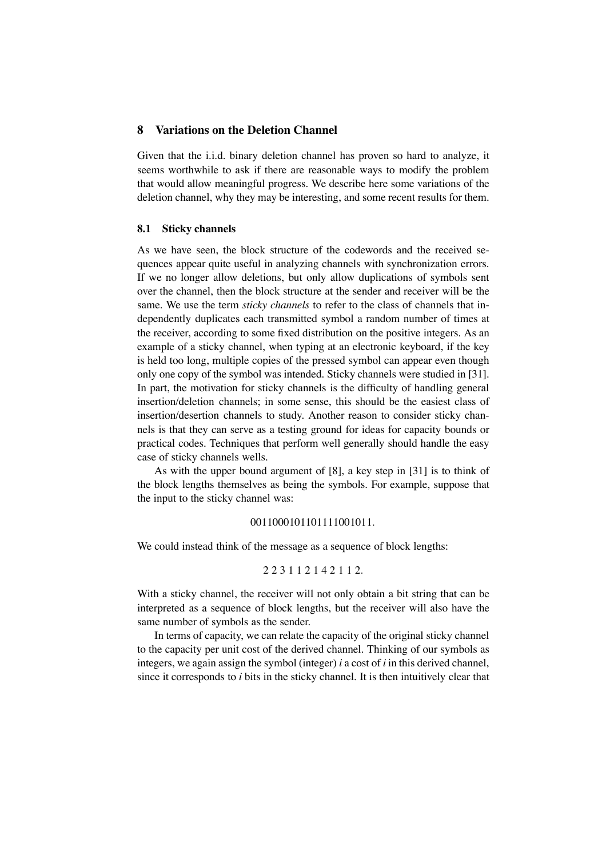## **8 Variations on the Deletion Channel**

Given that the i.i.d. binary deletion channel has proven so hard to analyze, it seems worthwhile to ask if there are reasonable ways to modify the problem that would allow meaningful progress. We describe here some variations of the deletion channel, why they may be interesting, and some recent results for them.

#### **8.1 Sticky channels**

As we have seen, the block structure of the codewords and the received sequences appear quite useful in analyzing channels with synchronization errors. If we no longer allow deletions, but only allow duplications of symbols sent over the channel, then the block structure at the sender and receiver will be the same. We use the term *sticky channels* to refer to the class of channels that independently duplicates each transmitted symbol a random number of times at the receiver, according to some fixed distribution on the positive integers. As an example of a sticky channel, when typing at an electronic keyboard, if the key is held too long, multiple copies of the pressed symbol can appear even though only one copy of the symbol was intended. Sticky channels were studied in [31]. In part, the motivation for sticky channels is the difficulty of handling general insertion/deletion channels; in some sense, this should be the easiest class of insertion/desertion channels to study. Another reason to consider sticky channels is that they can serve as a testing ground for ideas for capacity bounds or practical codes. Techniques that perform well generally should handle the easy case of sticky channels wells.

As with the upper bound argument of [8], a key step in [31] is to think of the block lengths themselves as being the symbols. For example, suppose that the input to the sticky channel was:

#### 0011000101101111001011.

We could instead think of the message as a sequence of block lengths:

# 223112142112.

With a sticky channel, the receiver will not only obtain a bit string that can be interpreted as a sequence of block lengths, but the receiver will also have the same number of symbols as the sender.

In terms of capacity, we can relate the capacity of the original sticky channel to the capacity per unit cost of the derived channel. Thinking of our symbols as integers, we again assign the symbol (integer) *i* a cost of *i* in this derived channel, since it corresponds to *i* bits in the sticky channel. It is then intuitively clear that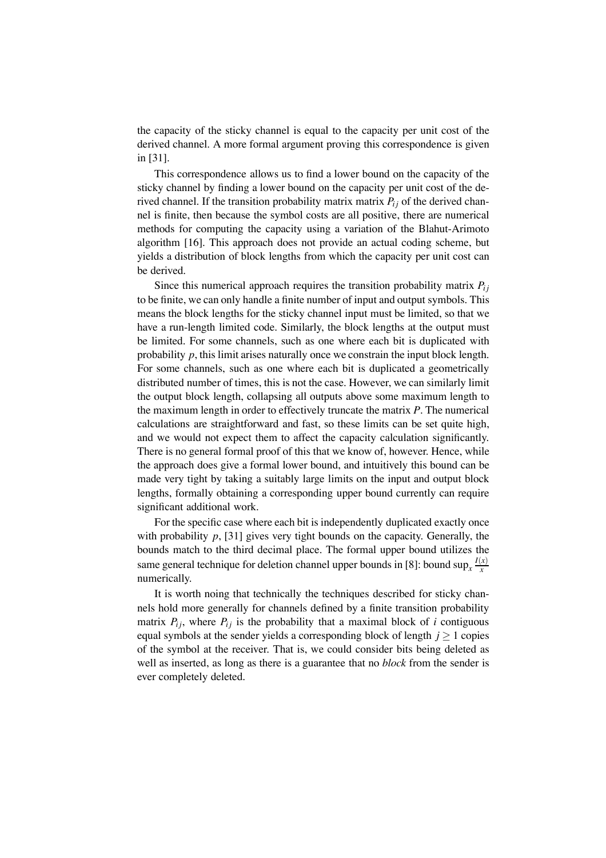the capacity of the sticky channel is equal to the capacity per unit cost of the derived channel. A more formal argument proving this correspondence is given in [31].

This correspondence allows us to find a lower bound on the capacity of the sticky channel by finding a lower bound on the capacity per unit cost of the derived channel. If the transition probability matrix matrix  $P_{ij}$  of the derived channel is finite, then because the symbol costs are all positive, there are numerical methods for computing the capacity using a variation of the Blahut-Arimoto algorithm [16]. This approach does not provide an actual coding scheme, but yields a distribution of block lengths from which the capacity per unit cost can be derived.

Since this numerical approach requires the transition probability matrix  $P_{ij}$ to be finite, we can only handle a finite number of input and output symbols. This means the block lengths for the sticky channel input must be limited, so that we have a run-length limited code. Similarly, the block lengths at the output must be limited. For some channels, such as one where each bit is duplicated with probability *p*, this limit arises naturally once we constrain the input block length. For some channels, such as one where each bit is duplicated a geometrically distributed number of times, this is not the case. However, we can similarly limit the output block length, collapsing all outputs above some maximum length to the maximum length in order to effectively truncate the matrix *P*. The numerical calculations are straightforward and fast, so these limits can be set quite high, and we would not expect them to affect the capacity calculation significantly. There is no general formal proof of this that we know of, however. Hence, while the approach does give a formal lower bound, and intuitively this bound can be made very tight by taking a suitably large limits on the input and output block lengths, formally obtaining a corresponding upper bound currently can require significant additional work.

For the specific case where each bit is independently duplicated exactly once with probability *p*, [31] gives very tight bounds on the capacity. Generally, the bounds match to the third decimal place. The formal upper bound utilizes the same general technique for deletion channel upper bounds in [8]: bound sup<sub>*x*</sub>  $\frac{I(x)}{x}$ *x* numerically.

It is worth noing that technically the techniques described for sticky channels hold more generally for channels defined by a finite transition probability matrix  $P_{ij}$ , where  $P_{ij}$  is the probability that a maximal block of *i* contiguous equal symbols at the sender yields a corresponding block of length  $j \ge 1$  copies of the symbol at the receiver. That is, we could consider bits being deleted as well as inserted, as long as there is a guarantee that no *block* from the sender is ever completely deleted.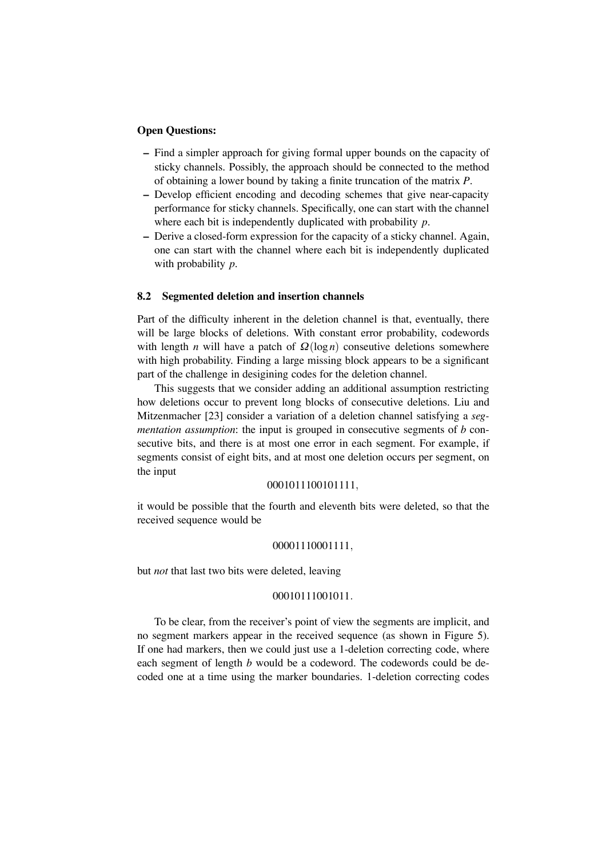#### **Open Questions:**

- **–** Find a simpler approach for giving formal upper bounds on the capacity of sticky channels. Possibly, the approach should be connected to the method of obtaining a lower bound by taking a finite truncation of the matrix *P*.
- **–** Develop efficient encoding and decoding schemes that give near-capacity performance for sticky channels. Specifically, one can start with the channel where each bit is independently duplicated with probability *p*.
- **–** Derive a closed-form expression for the capacity of a sticky channel. Again, one can start with the channel where each bit is independently duplicated with probability *p*.

#### **8.2 Segmented deletion and insertion channels**

Part of the difficulty inherent in the deletion channel is that, eventually, there will be large blocks of deletions. With constant error probability, codewords with length *n* will have a patch of  $\Omega(\log n)$  conseutive deletions somewhere with high probability. Finding a large missing block appears to be a significant part of the challenge in desigining codes for the deletion channel.

This suggests that we consider adding an additional assumption restricting how deletions occur to prevent long blocks of consecutive deletions. Liu and Mitzenmacher [23] consider a variation of a deletion channel satisfying a *segmentation assumption*: the input is grouped in consecutive segments of *b* consecutive bits, and there is at most one error in each segment. For example, if segments consist of eight bits, and at most one deletion occurs per segment, on the input

#### 0001011100101111,

it would be possible that the fourth and eleventh bits were deleted, so that the received sequence would be

#### 00001110001111,

but *not* that last two bits were deleted, leaving

# 00010111001011.

To be clear, from the receiver's point of view the segments are implicit, and no segment markers appear in the received sequence (as shown in Figure 5). If one had markers, then we could just use a 1-deletion correcting code, where each segment of length *b* would be a codeword. The codewords could be decoded one at a time using the marker boundaries. 1-deletion correcting codes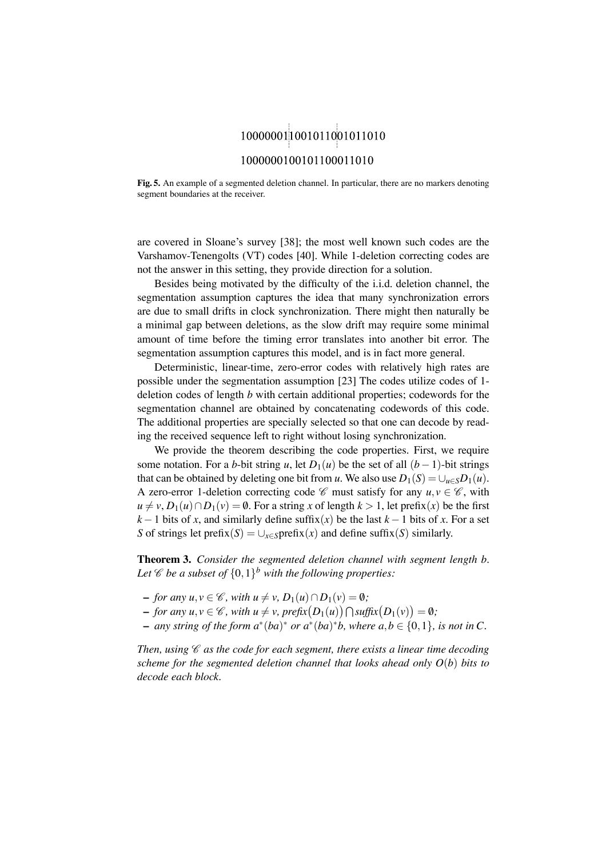# 100000011001011001011010

#### 1000000100101100011010

**Fig. 5.** An example of a segmented deletion channel. In particular, there are no markers denoting segment boundaries at the receiver.

are covered in Sloane's survey [38]; the most well known such codes are the Varshamov-Tenengolts (VT) codes [40]. While 1-deletion correcting codes are not the answer in this setting, they provide direction for a solution.

Besides being motivated by the difficulty of the i.i.d. deletion channel, the segmentation assumption captures the idea that many synchronization errors are due to small drifts in clock synchronization. There might then naturally be a minimal gap between deletions, as the slow drift may require some minimal amount of time before the timing error translates into another bit error. The segmentation assumption captures this model, and is in fact more general.

Deterministic, linear-time, zero-error codes with relatively high rates are possible under the segmentation assumption [23] The codes utilize codes of 1 deletion codes of length *b* with certain additional properties; codewords for the segmentation channel are obtained by concatenating codewords of this code. The additional properties are specially selected so that one can decode by reading the received sequence left to right without losing synchronization.

We provide the theorem describing the code properties. First, we require some notation. For a *b*-bit string *u*, let  $D_1(u)$  be the set of all  $(b-1)$ -bit strings that can be obtained by deleting one bit from *u*. We also use  $D_1(S) = \bigcup_{u \in S} D_1(u)$ . A zero-error 1-deletion correcting code  $\mathscr C$  must satisfy for any  $u, v \in \mathscr C$ , with  $u \neq v$ ,  $D_1(u) \cap D_1(v) = \emptyset$ . For a string *x* of length  $k > 1$ , let prefix(*x*) be the first  $k-1$  bits of *x*, and similarly define suffix(*x*) be the last  $k-1$  bits of *x*. For a set *S* of strings let prefix(*S*) =  $\bigcup_{x \in S}$ prefix(*x*) and define suffix(*S*) similarly.

**Theorem 3.** *Consider the segmented deletion channel with segment length b.* Let  $\mathscr C$  *be a subset of*  $\{0,1\}^b$  *with the following properties:* 

- **−** *for any*  $u, v \in \mathcal{C}$ *, with*  $u \neq v$ *,*  $D_1(u) \cap D_1(v) = 0$ *;*
- $\blacktriangleright$   *for any*  $u, v \in \mathscr{C}$ *, with*  $u \neq v$ *, prefix* $\big(D_1(u)\big) \bigcap {\text {suffix}}\big(D_1(v)\big) = \emptyset;$
- **–** *any string of the form a*∗(*ba*)<sup>∗</sup> *or a*∗(*ba*)∗*b, where a*,*b* ∈ {0,1}*, is not in C.*

*Then, using C as the code for each segment, there exists a linear time decoding scheme for the segmented deletion channel that looks ahead only O*(*b*) *bits to decode each block.*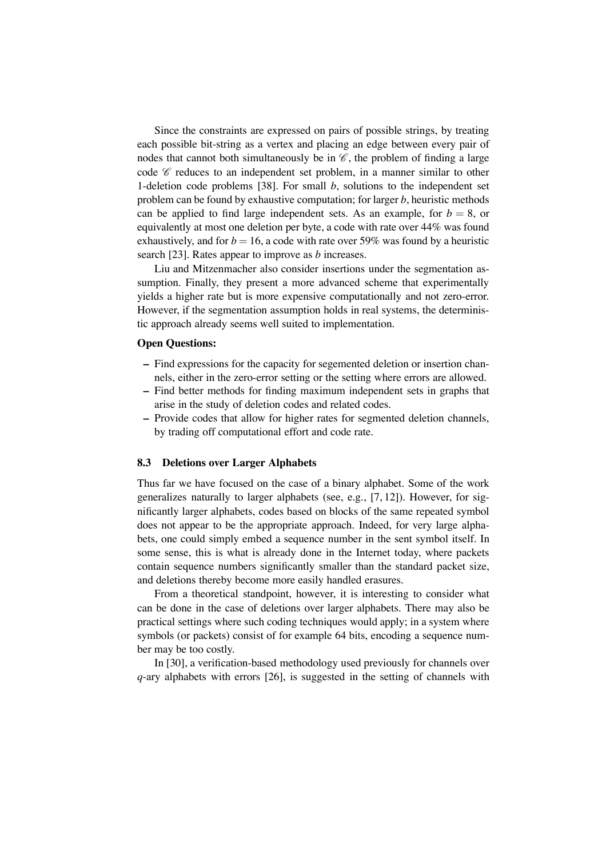Since the constraints are expressed on pairs of possible strings, by treating each possible bit-string as a vertex and placing an edge between every pair of nodes that cannot both simultaneously be in  $\mathscr{C}$ , the problem of finding a large code *C* reduces to an independent set problem, in a manner similar to other 1-deletion code problems [38]. For small *b*, solutions to the independent set problem can be found by exhaustive computation; for larger *b*, heuristic methods can be applied to find large independent sets. As an example, for  $b = 8$ , or equivalently at most one deletion per byte, a code with rate over 44% was found exhaustively, and for  $b = 16$ , a code with rate over 59% was found by a heuristic search [23]. Rates appear to improve as *b* increases.

Liu and Mitzenmacher also consider insertions under the segmentation assumption. Finally, they present a more advanced scheme that experimentally yields a higher rate but is more expensive computationally and not zero-error. However, if the segmentation assumption holds in real systems, the deterministic approach already seems well suited to implementation.

#### **Open Questions:**

- **–** Find expressions for the capacity for segemented deletion or insertion channels, either in the zero-error setting or the setting where errors are allowed.
- **–** Find better methods for finding maximum independent sets in graphs that arise in the study of deletion codes and related codes.
- **–** Provide codes that allow for higher rates for segmented deletion channels, by trading off computational effort and code rate.

#### **8.3 Deletions over Larger Alphabets**

Thus far we have focused on the case of a binary alphabet. Some of the work generalizes naturally to larger alphabets (see, e.g., [7, 12]). However, for significantly larger alphabets, codes based on blocks of the same repeated symbol does not appear to be the appropriate approach. Indeed, for very large alphabets, one could simply embed a sequence number in the sent symbol itself. In some sense, this is what is already done in the Internet today, where packets contain sequence numbers significantly smaller than the standard packet size, and deletions thereby become more easily handled erasures.

From a theoretical standpoint, however, it is interesting to consider what can be done in the case of deletions over larger alphabets. There may also be practical settings where such coding techniques would apply; in a system where symbols (or packets) consist of for example 64 bits, encoding a sequence number may be too costly.

In [30], a verification-based methodology used previously for channels over *q*-ary alphabets with errors [26], is suggested in the setting of channels with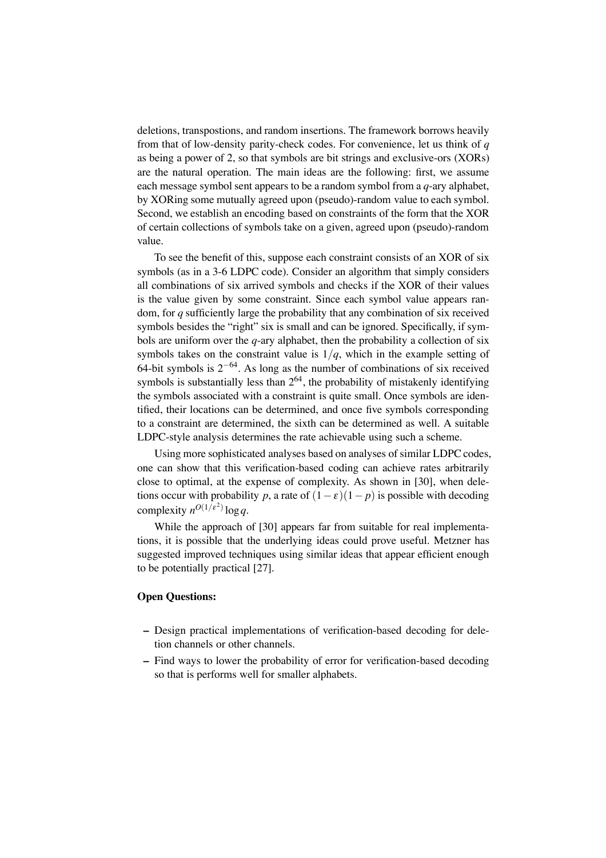deletions, transpostions, and random insertions. The framework borrows heavily from that of low-density parity-check codes. For convenience, let us think of *q* as being a power of 2, so that symbols are bit strings and exclusive-ors (XORs) are the natural operation. The main ideas are the following: first, we assume each message symbol sent appears to be a random symbol from a *q*-ary alphabet, by XORing some mutually agreed upon (pseudo)-random value to each symbol. Second, we establish an encoding based on constraints of the form that the XOR of certain collections of symbols take on a given, agreed upon (pseudo)-random value.

To see the benefit of this, suppose each constraint consists of an XOR of six symbols (as in a 3-6 LDPC code). Consider an algorithm that simply considers all combinations of six arrived symbols and checks if the XOR of their values is the value given by some constraint. Since each symbol value appears random, for *q* sufficiently large the probability that any combination of six received symbols besides the "right" six is small and can be ignored. Specifically, if symbols are uniform over the  $q$ -ary alphabet, then the probability a collection of six symbols takes on the constraint value is  $1/q$ , which in the example setting of 64-bit symbols is  $2^{-64}$ . As long as the number of combinations of six received symbols is substantially less than  $2^{64}$ , the probability of mistakenly identifying the symbols associated with a constraint is quite small. Once symbols are identified, their locations can be determined, and once five symbols corresponding to a constraint are determined, the sixth can be determined as well. A suitable LDPC-style analysis determines the rate achievable using such a scheme.

Using more sophisticated analyses based on analyses of similar LDPC codes, one can show that this verification-based coding can achieve rates arbitrarily close to optimal, at the expense of complexity. As shown in [30], when deletions occur with probability *p*, a rate of  $(1 - \varepsilon)(1 - p)$  is possible with decoding complexity  $n^{O(1/\varepsilon^2)}$  log *a*.

While the approach of [30] appears far from suitable for real implementations, it is possible that the underlying ideas could prove useful. Metzner has suggested improved techniques using similar ideas that appear efficient enough to be potentially practical [27].

# **Open Questions:**

- **–** Design practical implementations of verification-based decoding for deletion channels or other channels.
- **–** Find ways to lower the probability of error for verification-based decoding so that is performs well for smaller alphabets.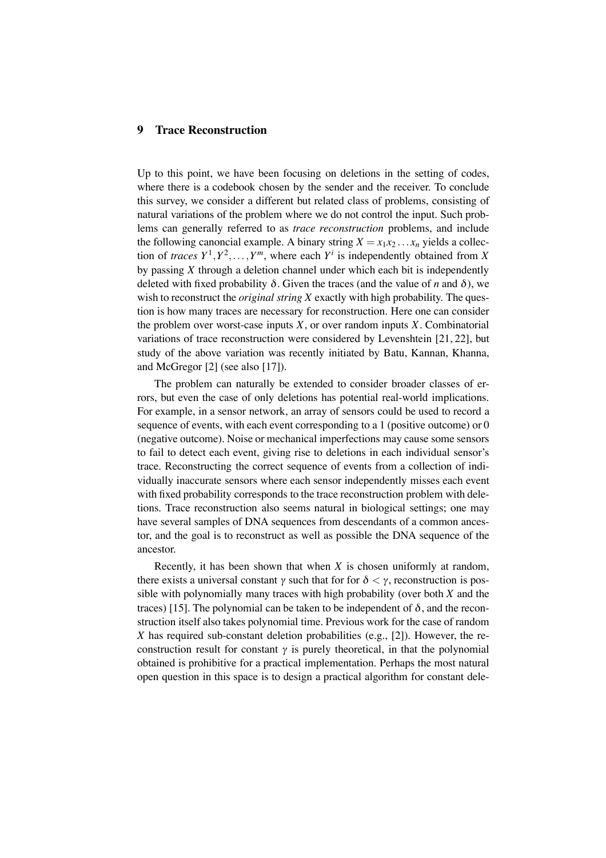## **9 Trace Reconstruction**

Up to this point, we have been focusing on deletions in the setting of codes, where there is a codebook chosen by the sender and the receiver. To conclude this survey, we consider a different but related class of problems, consisting of natural variations of the problem where we do not control the input. Such problems can generally referred to as *trace reconstruction* problems, and include the following canoncial example. A binary string  $X = x_1x_2...x_n$  yields a collection of *traces*  $Y^1, Y^2, \ldots, Y^m$ , where each  $Y^i$  is independently obtained from *X* by passing *X* through a deletion channel under which each bit is independently deleted with fixed probability δ. Given the traces (and the value of *n* and δ), we wish to reconstruct the *original string X* exactly with high probability. The question is how many traces are necessary for reconstruction. Here one can consider the problem over worst-case inputs *X*, or over random inputs *X*. Combinatorial variations of trace reconstruction were considered by Levenshtein [21, 22], but study of the above variation was recently initiated by Batu, Kannan, Khanna, and McGregor [2] (see also [17]).

The problem can naturally be extended to consider broader classes of errors, but even the case of only deletions has potential real-world implications. For example, in a sensor network, an array of sensors could be used to record a sequence of events, with each event corresponding to a 1 (positive outcome) or 0 (negative outcome). Noise or mechanical imperfections may cause some sensors to fail to detect each event, giving rise to deletions in each individual sensor's trace. Reconstructing the correct sequence of events from a collection of individually inaccurate sensors where each sensor independently misses each event with fixed probability corresponds to the trace reconstruction problem with deletions. Trace reconstruction also seems natural in biological settings; one may have several samples of DNA sequences from descendants of a common ancestor, and the goal is to reconstruct as well as possible the DNA sequence of the ancestor.

Recently, it has been shown that when *X* is chosen uniformly at random, there exists a universal constant  $\gamma$  such that for for  $\delta < \gamma$ , reconstruction is possible with polynomially many traces with high probability (over both *X* and the traces) [15]. The polynomial can be taken to be independent of  $\delta$ , and the reconstruction itself also takes polynomial time. Previous work for the case of random *X* has required sub-constant deletion probabilities (e.g., [2]). However, the reconstruction result for constant  $\gamma$  is purely theoretical, in that the polynomial obtained is prohibitive for a practical implementation. Perhaps the most natural open question in this space is to design a practical algorithm for constant dele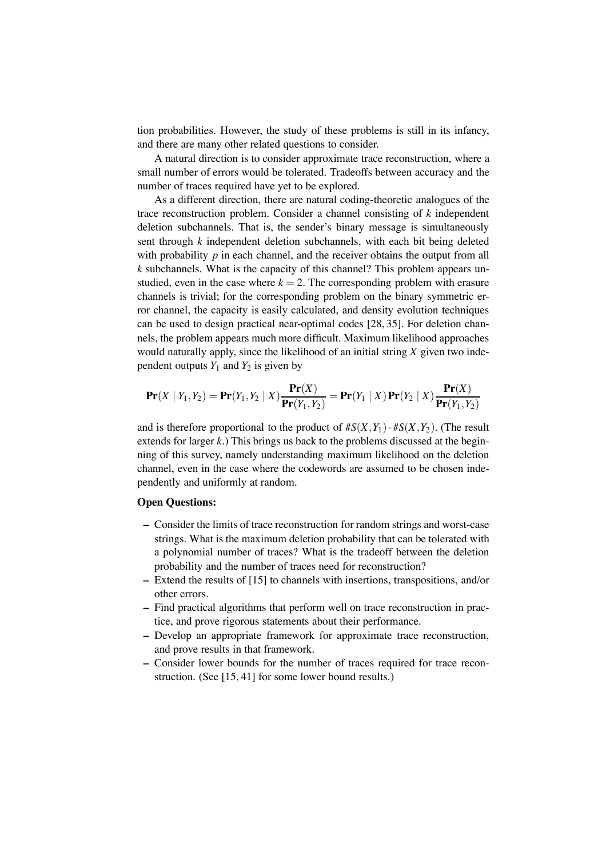tion probabilities. However, the study of these problems is still in its infancy, and there are many other related questions to consider.

A natural direction is to consider approximate trace reconstruction, where a small number of errors would be tolerated. Tradeoffs between accuracy and the number of traces required have yet to be explored.

As a different direction, there are natural coding-theoretic analogues of the trace reconstruction problem. Consider a channel consisting of *k* independent deletion subchannels. That is, the sender's binary message is simultaneously sent through *k* independent deletion subchannels, with each bit being deleted with probability *p* in each channel, and the receiver obtains the output from all *k* subchannels. What is the capacity of this channel? This problem appears unstudied, even in the case where  $k = 2$ . The corresponding problem with erasure channels is trivial; for the corresponding problem on the binary symmetric error channel, the capacity is easily calculated, and density evolution techniques can be used to design practical near-optimal codes [28, 35]. For deletion channels, the problem appears much more difficult. Maximum likelihood approaches would naturally apply, since the likelihood of an initial string *X* given two independent outputs  $Y_1$  and  $Y_2$  is given by

$$
\mathbf{Pr}(X \mid Y_1, Y_2) = \mathbf{Pr}(Y_1, Y_2 \mid X) \frac{\mathbf{Pr}(X)}{\mathbf{Pr}(Y_1, Y_2)} = \mathbf{Pr}(Y_1 \mid X) \mathbf{Pr}(Y_2 \mid X) \frac{\mathbf{Pr}(X)}{\mathbf{Pr}(Y_1, Y_2)}
$$

and is therefore proportional to the product of  $\#S(X,Y_1)\cdot\#S(X,Y_2)$ . (The result extends for larger *k*.) This brings us back to the problems discussed at the beginning of this survey, namely understanding maximum likelihood on the deletion channel, even in the case where the codewords are assumed to be chosen independently and uniformly at random.

#### **Open Questions:**

- **–** Consider the limits of trace reconstruction for random strings and worst-case strings. What is the maximum deletion probability that can be tolerated with a polynomial number of traces? What is the tradeoff between the deletion probability and the number of traces need for reconstruction?
- **–** Extend the results of [15] to channels with insertions, transpositions, and/or other errors.
- **–** Find practical algorithms that perform well on trace reconstruction in practice, and prove rigorous statements about their performance.
- **–** Develop an appropriate framework for approximate trace reconstruction, and prove results in that framework.
- **–** Consider lower bounds for the number of traces required for trace reconstruction. (See [15, 41] for some lower bound results.)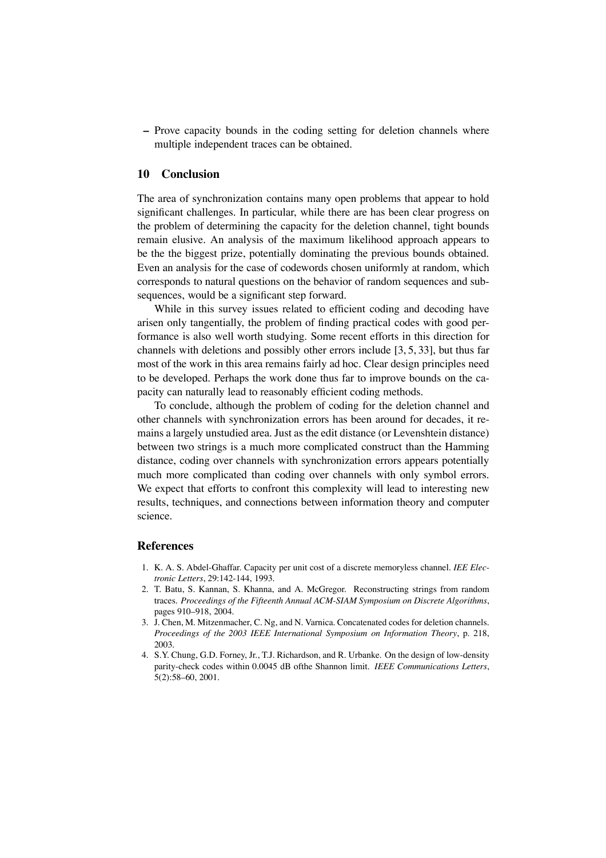**–** Prove capacity bounds in the coding setting for deletion channels where multiple independent traces can be obtained.

# **10 Conclusion**

The area of synchronization contains many open problems that appear to hold significant challenges. In particular, while there are has been clear progress on the problem of determining the capacity for the deletion channel, tight bounds remain elusive. An analysis of the maximum likelihood approach appears to be the the biggest prize, potentially dominating the previous bounds obtained. Even an analysis for the case of codewords chosen uniformly at random, which corresponds to natural questions on the behavior of random sequences and subsequences, would be a significant step forward.

While in this survey issues related to efficient coding and decoding have arisen only tangentially, the problem of finding practical codes with good performance is also well worth studying. Some recent efforts in this direction for channels with deletions and possibly other errors include [3, 5, 33], but thus far most of the work in this area remains fairly ad hoc. Clear design principles need to be developed. Perhaps the work done thus far to improve bounds on the capacity can naturally lead to reasonably efficient coding methods.

To conclude, although the problem of coding for the deletion channel and other channels with synchronization errors has been around for decades, it remains a largely unstudied area. Just as the edit distance (or Levenshtein distance) between two strings is a much more complicated construct than the Hamming distance, coding over channels with synchronization errors appears potentially much more complicated than coding over channels with only symbol errors. We expect that efforts to confront this complexity will lead to interesting new results, techniques, and connections between information theory and computer science.

#### **References**

- 1. K. A. S. Abdel-Ghaffar. Capacity per unit cost of a discrete memoryless channel. *IEE Electronic Letters*, 29:142-144, 1993.
- 2. T. Batu, S. Kannan, S. Khanna, and A. McGregor. Reconstructing strings from random traces. *Proceedings of the Fifteenth Annual ACM-SIAM Symposium on Discrete Algorithms*, pages 910–918, 2004.
- 3. J. Chen, M. Mitzenmacher, C. Ng, and N. Varnica. Concatenated codes for deletion channels. *Proceedings of the 2003 IEEE International Symposium on Information Theory*, p. 218, 2003.
- 4. S.Y. Chung, G.D. Forney, Jr., T.J. Richardson, and R. Urbanke. On the design of low-density parity-check codes within 0.0045 dB ofthe Shannon limit. *IEEE Communications Letters*, 5(2):58–60, 2001.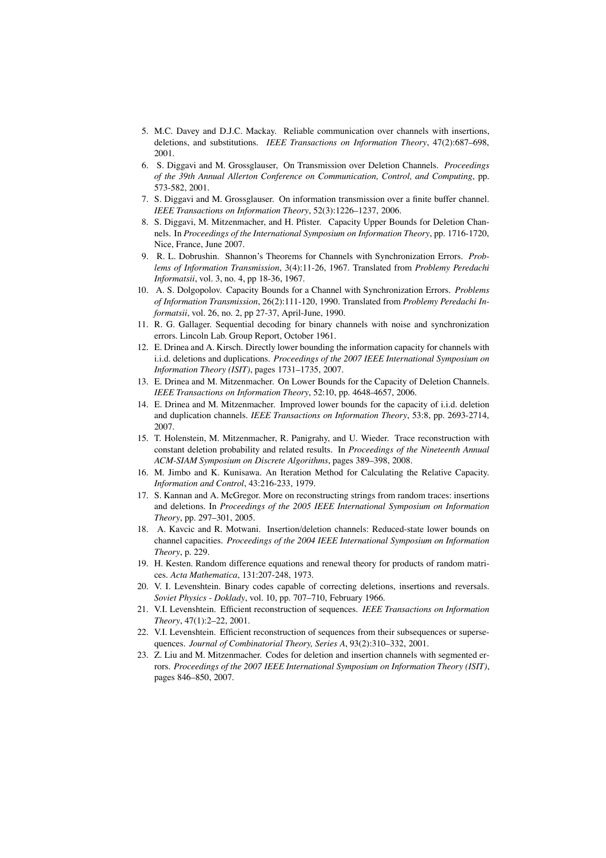- 5. M.C. Davey and D.J.C. Mackay. Reliable communication over channels with insertions, deletions, and substitutions. *IEEE Transactions on Information Theory*, 47(2):687–698, 2001.
- 6. S. Diggavi and M. Grossglauser, On Transmission over Deletion Channels. *Proceedings of the 39th Annual Allerton Conference on Communication, Control, and Computing*, pp. 573-582, 2001.
- 7. S. Diggavi and M. Grossglauser. On information transmission over a finite buffer channel. *IEEE Transactions on Information Theory*, 52(3):1226–1237, 2006.
- 8. S. Diggavi, M. Mitzenmacher, and H. Pfister. Capacity Upper Bounds for Deletion Channels. In *Proceedings of the International Symposium on Information Theory*, pp. 1716-1720, Nice, France, June 2007.
- 9. R. L. Dobrushin. Shannon's Theorems for Channels with Synchronization Errors. *Problems of Information Transmission*, 3(4):11-26, 1967. Translated from *Problemy Peredachi Informatsii*, vol. 3, no. 4, pp 18-36, 1967.
- 10. A. S. Dolgopolov. Capacity Bounds for a Channel with Synchronization Errors. *Problems of Information Transmission*, 26(2):111-120, 1990. Translated from *Problemy Peredachi Informatsii*, vol. 26, no. 2, pp 27-37, April-June, 1990.
- 11. R. G. Gallager. Sequential decoding for binary channels with noise and synchronization errors. Lincoln Lab. Group Report, October 1961.
- 12. E. Drinea and A. Kirsch. Directly lower bounding the information capacity for channels with i.i.d. deletions and duplications. *Proceedings of the 2007 IEEE International Symposium on Information Theory (ISIT)*, pages 1731–1735, 2007.
- 13. E. Drinea and M. Mitzenmacher. On Lower Bounds for the Capacity of Deletion Channels. *IEEE Transactions on Information Theory*, 52:10, pp. 4648-4657, 2006.
- 14. E. Drinea and M. Mitzenmacher. Improved lower bounds for the capacity of i.i.d. deletion and duplication channels. *IEEE Transactions on Information Theory*, 53:8, pp. 2693-2714, 2007.
- 15. T. Holenstein, M. Mitzenmacher, R. Panigrahy, and U. Wieder. Trace reconstruction with constant deletion probability and related results. In *Proceedings of the Nineteenth Annual ACM-SIAM Symposium on Discrete Algorithms*, pages 389–398, 2008.
- 16. M. Jimbo and K. Kunisawa. An Iteration Method for Calculating the Relative Capacity. *Information and Control*, 43:216-233, 1979.
- 17. S. Kannan and A. McGregor. More on reconstructing strings from random traces: insertions and deletions. In *Proceedings of the 2005 IEEE International Symposium on Information Theory*, pp. 297–301, 2005.
- 18. A. Kavcic and R. Motwani. Insertion/deletion channels: Reduced-state lower bounds on channel capacities. *Proceedings of the 2004 IEEE International Symposium on Information Theory*, p. 229.
- 19. H. Kesten. Random difference equations and renewal theory for products of random matrices. *Acta Mathematica*, 131:207-248, 1973.
- 20. V. I. Levenshtein. Binary codes capable of correcting deletions, insertions and reversals. *Soviet Physics - Doklady*, vol. 10, pp. 707–710, February 1966.
- 21. V.I. Levenshtein. Efficient reconstruction of sequences. *IEEE Transactions on Information Theory*, 47(1):2–22, 2001.
- 22. V.I. Levenshtein. Efficient reconstruction of sequences from their subsequences or supersequences. *Journal of Combinatorial Theory, Series A*, 93(2):310–332, 2001.
- 23. Z. Liu and M. Mitzenmacher. Codes for deletion and insertion channels with segmented errors. *Proceedings of the 2007 IEEE International Symposium on Information Theory (ISIT)*, pages 846–850, 2007.